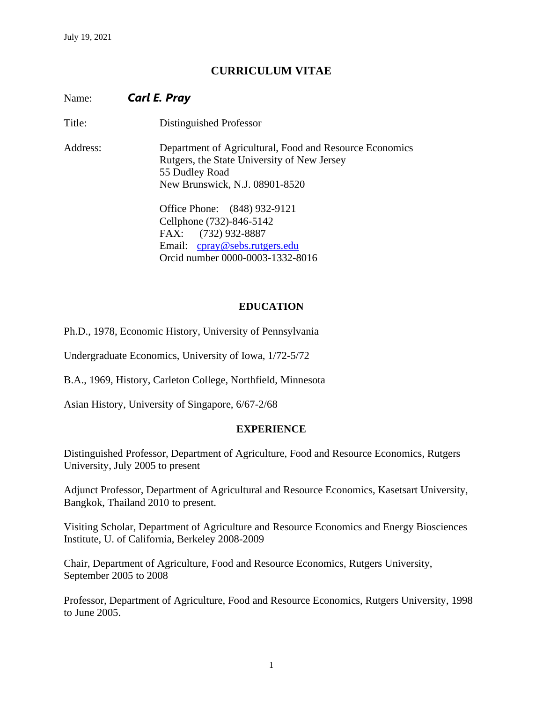# **CURRICULUM VITAE**

Name: *Carl E. Pray*

Title: Distinguished Professor

Address: Department of Agricultural, Food and Resource Economics Rutgers, the State University of New Jersey 55 Dudley Road New Brunswick, N.J. 08901-8520

> Office Phone: (848) 932-9121 Cellphone (732)-846-5142 FAX: (732) 932-8887 Email: [cpray@sebs.rutgers.edu](mailto:cpray@sebs.rutgers.edu) Orcid number 0000-0003-1332-8016

#### **EDUCATION**

Ph.D., 1978, Economic History, University of Pennsylvania

Undergraduate Economics, University of Iowa, 1/72-5/72

B.A., 1969, History, Carleton College, Northfield, Minnesota

Asian History, University of Singapore, 6/67-2/68

#### **EXPERIENCE**

Distinguished Professor, Department of Agriculture, Food and Resource Economics, Rutgers University, July 2005 to present

Adjunct Professor, Department of Agricultural and Resource Economics, Kasetsart University, Bangkok, Thailand 2010 to present.

Visiting Scholar, Department of Agriculture and Resource Economics and Energy Biosciences Institute, U. of California, Berkeley 2008-2009

Chair, Department of Agriculture, Food and Resource Economics, Rutgers University, September 2005 to 2008

Professor, Department of Agriculture, Food and Resource Economics, Rutgers University, 1998 to June 2005.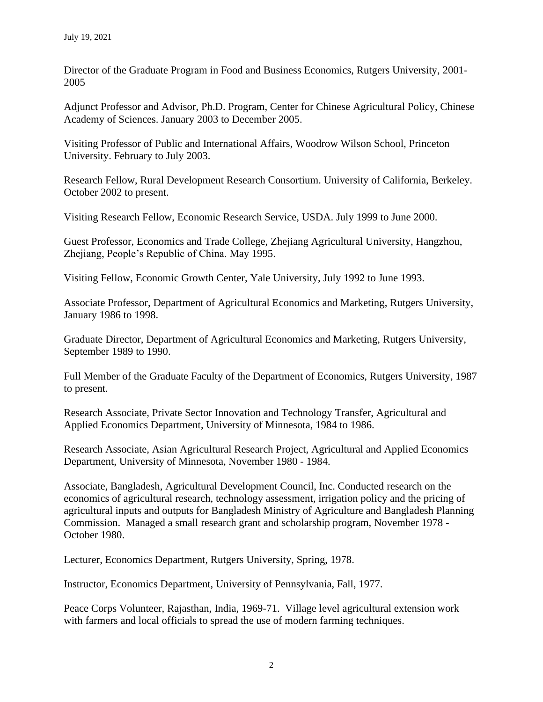Director of the Graduate Program in Food and Business Economics, Rutgers University, 2001- 2005

Adjunct Professor and Advisor, Ph.D. Program, Center for Chinese Agricultural Policy, Chinese Academy of Sciences. January 2003 to December 2005.

Visiting Professor of Public and International Affairs, Woodrow Wilson School, Princeton University. February to July 2003.

Research Fellow, Rural Development Research Consortium. University of California, Berkeley. October 2002 to present.

Visiting Research Fellow, Economic Research Service, USDA. July 1999 to June 2000.

Guest Professor, Economics and Trade College, Zhejiang Agricultural University, Hangzhou, Zhejiang, People's Republic of China. May 1995.

Visiting Fellow, Economic Growth Center, Yale University, July 1992 to June 1993.

Associate Professor, Department of Agricultural Economics and Marketing, Rutgers University, January 1986 to 1998.

Graduate Director, Department of Agricultural Economics and Marketing, Rutgers University, September 1989 to 1990.

Full Member of the Graduate Faculty of the Department of Economics, Rutgers University, 1987 to present.

Research Associate, Private Sector Innovation and Technology Transfer, Agricultural and Applied Economics Department, University of Minnesota, 1984 to 1986.

Research Associate, Asian Agricultural Research Project, Agricultural and Applied Economics Department, University of Minnesota, November 1980 - 1984.

Associate, Bangladesh, Agricultural Development Council, Inc. Conducted research on the economics of agricultural research, technology assessment, irrigation policy and the pricing of agricultural inputs and outputs for Bangladesh Ministry of Agriculture and Bangladesh Planning Commission. Managed a small research grant and scholarship program, November 1978 - October 1980.

Lecturer, Economics Department, Rutgers University, Spring, 1978.

Instructor, Economics Department, University of Pennsylvania, Fall, 1977.

Peace Corps Volunteer, Rajasthan, India, 1969-71. Village level agricultural extension work with farmers and local officials to spread the use of modern farming techniques.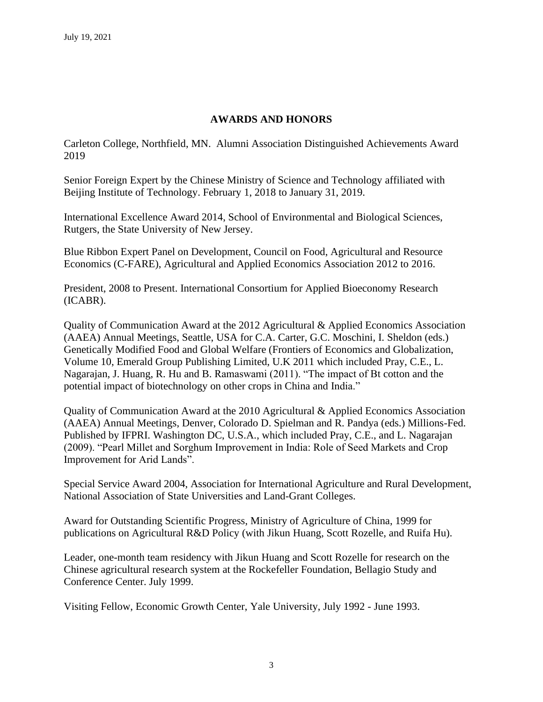## **AWARDS AND HONORS**

Carleton College, Northfield, MN. Alumni Association Distinguished Achievements Award 2019

Senior Foreign Expert by the Chinese Ministry of Science and Technology affiliated with Beijing Institute of Technology. February 1, 2018 to January 31, 2019.

International Excellence Award 2014, School of Environmental and Biological Sciences, Rutgers, the State University of New Jersey.

Blue Ribbon Expert Panel on Development, Council on Food, Agricultural and Resource Economics (C-FARE), Agricultural and Applied Economics Association 2012 to 2016.

President, 2008 to Present. International Consortium for Applied Bioeconomy Research (ICABR).

Quality of Communication Award at the 2012 Agricultural & Applied Economics Association (AAEA) Annual Meetings, Seattle, USA for C.A. Carter, G.C. Moschini, I. Sheldon (eds.) Genetically Modified Food and Global Welfare (Frontiers of Economics and Globalization, Volume 10, Emerald Group Publishing Limited, U.K 2011 which included Pray, C.E., L. Nagarajan, J. Huang, R. Hu and B. Ramaswami (2011). "The impact of Bt cotton and the potential impact of biotechnology on other crops in China and India."

Quality of Communication Award at the 2010 Agricultural & Applied Economics Association (AAEA) Annual Meetings, Denver, Colorado D. Spielman and R. Pandya (eds.) Millions-Fed. Published by IFPRI. Washington DC, U.S.A., which included Pray, C.E., and L. Nagarajan (2009). "Pearl Millet and Sorghum Improvement in India: Role of Seed Markets and Crop Improvement for Arid Lands".

Special Service Award 2004, Association for International Agriculture and Rural Development, National Association of State Universities and Land-Grant Colleges.

Award for Outstanding Scientific Progress, Ministry of Agriculture of China, 1999 for publications on Agricultural R&D Policy (with Jikun Huang, Scott Rozelle, and Ruifa Hu).

Leader, one-month team residency with Jikun Huang and Scott Rozelle for research on the Chinese agricultural research system at the Rockefeller Foundation, Bellagio Study and Conference Center. July 1999.

Visiting Fellow, Economic Growth Center, Yale University, July 1992 - June 1993.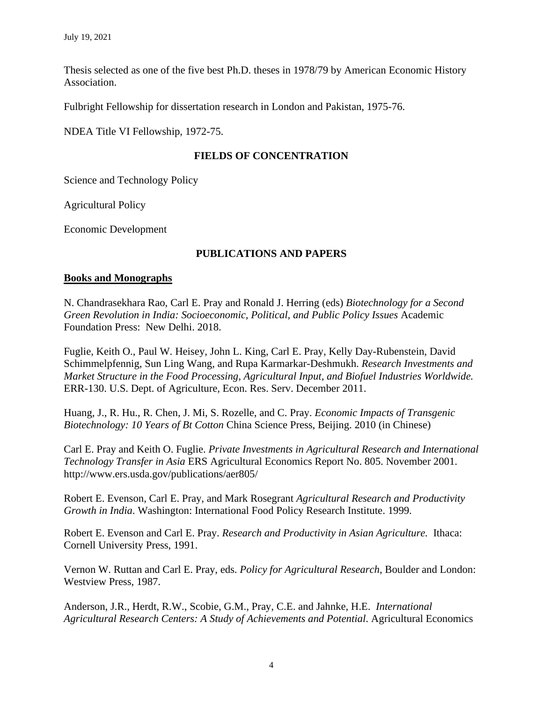Thesis selected as one of the five best Ph.D. theses in 1978/79 by American Economic History Association.

Fulbright Fellowship for dissertation research in London and Pakistan, 1975-76.

NDEA Title VI Fellowship, 1972-75.

### **FIELDS OF CONCENTRATION**

Science and Technology Policy

Agricultural Policy

Economic Development

### **PUBLICATIONS AND PAPERS**

#### **Books and Monographs**

N. Chandrasekhara Rao, Carl E. Pray and Ronald J. Herring (eds) *Biotechnology for a Second Green Revolution in India: Socioeconomic, Political, and Public Policy Issues* Academic Foundation Press: New Delhi. 2018.

Fuglie, Keith O., Paul W. Heisey, John L. King, Carl E. Pray, Kelly Day-Rubenstein, David Schimmelpfennig, Sun Ling Wang, and Rupa Karmarkar-Deshmukh. *Research Investments and Market Structure in the Food Processing, Agricultural Input, and Biofuel Industries Worldwide.* ERR-130. U.S. Dept. of Agriculture, Econ. Res. Serv. December 2011.

Huang, J., R. Hu., R. Chen, J. Mi, S. Rozelle, and C. Pray. *Economic Impacts of Transgenic Biotechnology: 10 Years of Bt Cotton* China Science Press, Beijing. 2010 (in Chinese)

Carl E. Pray and Keith O. Fuglie. *Private Investments in Agricultural Research and International Technology Transfer in Asia* ERS Agricultural Economics Report No. 805. November 2001. http://www.ers.usda.gov/publications/aer805/

Robert E. Evenson, Carl E. Pray, and Mark Rosegrant *Agricultural Research and Productivity Growth in India*. Washington: International Food Policy Research Institute. 1999.

Robert E. Evenson and Carl E. Pray. *Research and Productivity in Asian Agriculture.* Ithaca: Cornell University Press, 1991.

Vernon W. Ruttan and Carl E. Pray, eds. *Policy for Agricultural Research*, Boulder and London: Westview Press, 1987.

Anderson, J.R., Herdt, R.W., Scobie, G.M., Pray, C.E. and Jahnke, H.E. *International Agricultural Research Centers: A Study of Achievements and Potential*. Agricultural Economics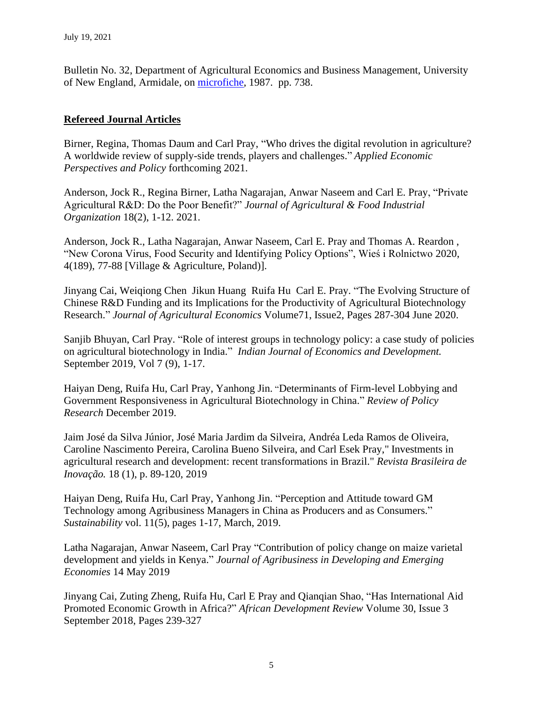Bulletin No. 32, Department of Agricultural Economics and Business Management, University of New England, Armidale, on [microfiche,](http://www.lib.monash.edu.au/microform/3158.html) 1987. pp. 738.

### **Refereed Journal Articles**

Birner, Regina, Thomas Daum and Carl Pray, "Who drives the digital revolution in agriculture? A worldwide review of supply-side trends, players and challenges." *Applied Economic Perspectives and Policy* forthcoming 2021.

Anderson, Jock R., Regina Birner, Latha Nagarajan, Anwar Naseem and Carl E. Pray, "Private Agricultural R&D: Do the Poor Benefit?" *Journal of Agricultural & Food Industrial Organization* 18(2), 1-12. 2021.

Anderson, Jock R., Latha Nagarajan, Anwar Naseem, Carl E. Pray and Thomas A. Reardon , "New Corona Virus, Food Security and Identifying Policy Options", Wieś i Rolnictwo 2020, 4(189), 77-88 [Village & Agriculture, Poland)].

Jinyang Cai, Weiqiong Chen Jikun Huang Ruifa Hu Carl E. Pray. "The Evolving Structure of Chinese R&D Funding and its Implications for the Productivity of Agricultural Biotechnology Research." *Journal of Agricultural Economics* Volume71, Issue2, Pages 287-304 June 2020.

Sanjib Bhuyan, Carl Pray. "Role of interest groups in technology policy: a case study of policies on agricultural biotechnology in India." *Indian Journal of Economics and Development.*  September 2019, Vol 7 (9), 1-17.

Haiyan Deng, Ruifa Hu, Carl Pray, Yanhong Jin. "Determinants of Firm-level Lobbying and Government Responsiveness in Agricultural Biotechnology in China." *Review of Policy Research* December 2019.

Jaim José da Silva Júnior, José Maria Jardim da Silveira, Andréa Leda Ramos de Oliveira, Caroline Nascimento Pereira, Carolina Bueno Silveira, and Carl Esek Pray," Investments in agricultural research and development: recent transformations in Brazil." *Revista Brasileira de Inovação.* 18 (1), p. 89-120, 2019

Haiyan Deng, Ruifa Hu, Carl Pray, Yanhong Jin. "Perception and Attitude toward GM Technology among Agribusiness Managers in China as Producers and as Consumers." *Sustainability* vol. 11(5), pages 1-17, March, 2019.

Latha Nagarajan, Anwar Naseem, Carl Pray "Contribution of policy change on maize varietal development and yields in Kenya." *Journal of Agribusiness in Developing and Emerging Economies* 14 May 2019

Jinyang Cai, Zuting Zheng, Ruifa Hu, Carl E Pray and Qianqian Shao, "Has International Aid Promoted Economic Growth in Africa?" *African Development Review* Volume 30, Issue 3 September 2018, Pages 239-327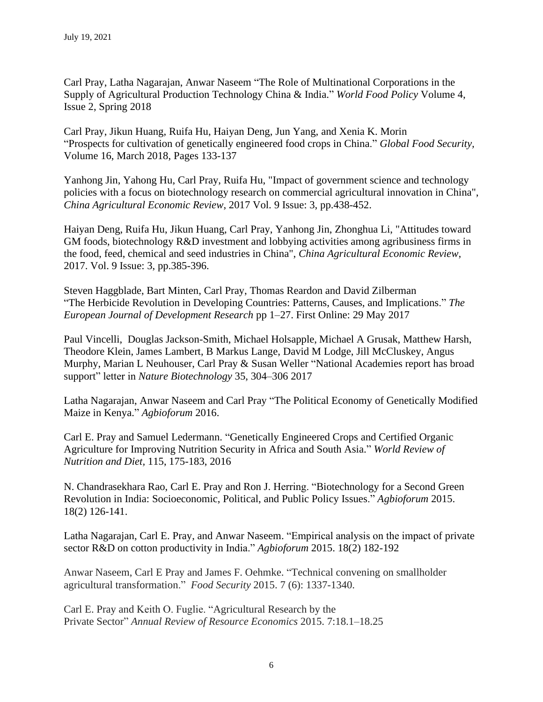Carl Pray, Latha Nagarajan, Anwar Naseem "The Role of Multinational Corporations in the Supply of Agricultural Production Technology China & India." *World Food Policy* Volume 4, Issue 2, Spring 2018

Carl Pray, Jikun Huang, Ruifa Hu, Haiyan Deng, Jun Yang, and Xenia K. Morin "Prospects for cultivation of genetically engineered food crops in China." *Global Food Security,*  Volume 16, March 2018, Pages 133-137

Yanhong Jin, Yahong Hu, Carl Pray, Ruifa Hu, "Impact of government science and technology policies with a focus on biotechnology research on commercial agricultural innovation in China", *China Agricultural Economic Review*, 2017 Vol. 9 Issue: 3, pp.438-452.

Haiyan Deng, Ruifa Hu, Jikun Huang, Carl Pray, Yanhong Jin, Zhonghua Li, "Attitudes toward GM foods, biotechnology R&D investment and lobbying activities among agribusiness firms in the food, feed, chemical and seed industries in China", *China Agricultural Economic Review*, 2017. Vol. 9 Issue: 3, pp.385-396.

Steven Haggblade, Bart Minten, Carl Pray, Thomas Reardon and David Zilberman "The Herbicide Revolution in Developing Countries: Patterns, Causes, and Implications." *The European Journal of Development Research* pp 1–27. First Online: 29 May 2017

Paul Vincelli, Douglas Jackson-Smith, Michael Holsapple, Michael A Grusak, Matthew Harsh, Theodore Klein, James Lambert, B Markus Lange, David M Lodge, Jill McCluskey, Angus Murphy, Marian L Neuhouser, Carl Pray & Susan Weller "National Academies report has broad support" letter in *Nature Biotechnology* 35, 304–306 2017

Latha Nagarajan, Anwar Naseem and Carl Pray "The Political Economy of Genetically Modified Maize in Kenya." *Agbioforum* 2016.

Carl E. Pray and Samuel Ledermann. "Genetically Engineered Crops and Certified Organic Agriculture for Improving Nutrition Security in Africa and South Asia." *World Review of Nutrition and Diet,* 115, 175-183, 2016

N. Chandrasekhara Rao, Carl E. Pray and Ron J. Herring. "Biotechnology for a Second Green Revolution in India: Socioeconomic, Political, and Public Policy Issues." *Agbioforum* 2015. 18(2) 126-141.

Latha Nagarajan, Carl E. Pray, and Anwar Naseem. "Empirical analysis on the impact of private sector R&D on cotton productivity in India." *Agbioforum* 2015. 18(2) 182-192

Anwar Naseem, Carl E Pray and James F. Oehmke. "Technical convening on smallholder agricultural transformation." *Food Security* 2015. 7 (6): 1337-1340.

Carl E. Pray and Keith O. Fuglie. "Agricultural Research by the Private Sector" *Annual Review of Resource Economics* 2015. 7:18.1–18.25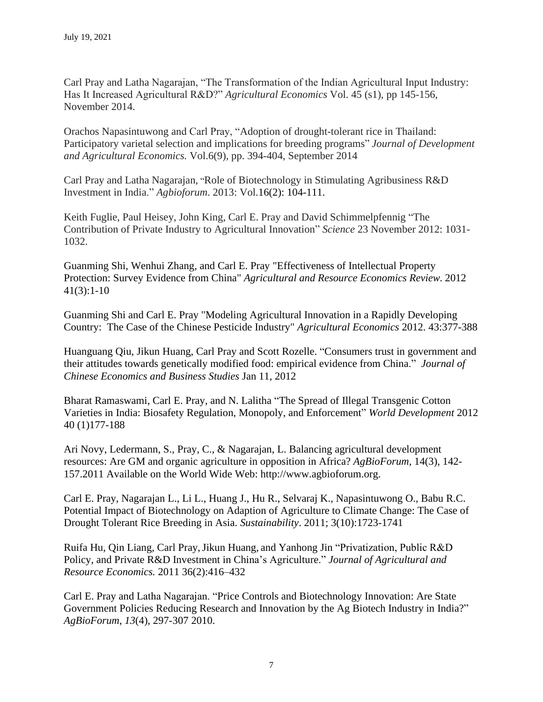Carl Pray and Latha Nagarajan, "The Transformation of the Indian Agricultural Input Industry: Has It Increased Agricultural R&D?" *Agricultural Economics* Vol. 45 (s1), pp 145-156, November 2014.

Orachos Napasintuwong and Carl Pray, "Adoption of drought-tolerant rice in Thailand: Participatory varietal selection and implications for breeding programs" *Journal of Development and Agricultural Economics.* Vol.6(9), pp. 394-404, September 2014

Carl Pray and Latha Nagarajan, "Role of Biotechnology in Stimulating Agribusiness R&D Investment in India." *Agbioforum*. 2013: Vol.16(2): 104-111.

Keith Fuglie, Paul Heisey, John King, Carl E. Pray and David Schimmelpfennig "The Contribution of Private Industry to Agricultural Innovation" *Science* 23 November 2012: 1031- 1032.

Guanming Shi, Wenhui Zhang, and Carl E. Pray "Effectiveness of Intellectual Property Protection: Survey Evidence from China" *Agricultural and Resource Economics Review.* 2012 41(3):1-10

Guanming Shi and Carl E. Pray "Modeling Agricultural Innovation in a Rapidly Developing Country: The Case of the Chinese Pesticide Industry" *Agricultural Economics* 2012. 43:377-388

Huanguang Qiu, Jikun Huang, Carl Pray and Scott Rozelle. "Consumers trust in government and their attitudes towards genetically modified food: empirical evidence from China." *Journal of Chinese Economics and Business Studies* Jan 11, 2012

Bharat Ramaswami, Carl E. Pray, and N. Lalitha "The Spread of Illegal Transgenic Cotton Varieties in India: Biosafety Regulation, Monopoly, and Enforcement" *World Development* 2012 40 (1)177-188

Ari Novy, Ledermann, S., Pray, C., & Nagarajan, L. Balancing agricultural development resources: Are GM and organic agriculture in opposition in Africa? *AgBioForum,* 14(3), 142- 157.2011 Available on the World Wide Web: http://www.agbioforum.org.

Carl E. Pray, Nagarajan L., Li L., Huang J., Hu R., Selvaraj K., Napasintuwong O., Babu R.C. Potential Impact of Biotechnology on Adaption of Agriculture to Climate Change: The Case of Drought Tolerant Rice Breeding in Asia. *Sustainability*. 2011; 3(10):1723-1741

Ruifa Hu, Qin Liang, Carl Pray,Jikun Huang, and Yanhong Jin "Privatization, Public R&D Policy, and Private R&D Investment in China's Agriculture." *Journal of Agricultural and Resource Economics.* 2011 36(2):416–432

Carl E. Pray and Latha Nagarajan. "Price Controls and Biotechnology Innovation: Are State Government Policies Reducing Research and Innovation by the Ag Biotech Industry in India?" *AgBioForum*, *13*(4), 297-307 2010.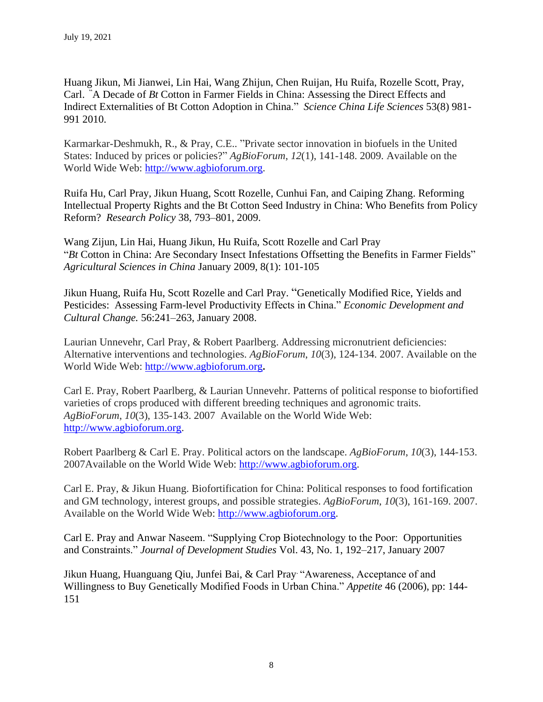Huang Jikun, Mi Jianwei, Lin Hai, Wang Zhijun, Chen Ruijan, Hu Ruifa, Rozelle Scott, Pray, Carl. "A Decade of *Bt* Cotton in Farmer Fields in China: Assessing the Direct Effects and Indirect Externalities of Bt Cotton Adoption in China." *Science China Life Sciences* 53(8) 981- 991 2010.

Karmarkar-Deshmukh, R., & Pray, C.E.. "Private sector innovation in biofuels in the United States: Induced by prices or policies?" *AgBioForum*, *12*(1), 141-148. 2009. Available on the World Wide Web: [http://www.agbioforum.org.](http://www.agbioforum.org/)

Ruifa Hu, Carl Pray, Jikun Huang, Scott Rozelle, Cunhui Fan, and Caiping Zhang. Reforming Intellectual Property Rights and the Bt Cotton Seed Industry in China: Who Benefits from Policy Reform? *Research Policy* 38, 793–801, 2009.

Wang Zijun, Lin Hai, Huang Jikun, Hu Ruifa, Scott Rozelle and Carl Pray "*Bt* Cotton in China: Are Secondary Insect Infestations Offsetting the Benefits in Farmer Fields" *Agricultural Sciences in China* January 2009, 8(1): 101-105

Jikun Huang, Ruifa Hu, Scott Rozelle and Carl Pray. "Genetically Modified Rice, Yields and Pesticides: Assessing Farm-level Productivity Effects in China." *Economic Development and Cultural Change.* 56:241–263, January 2008.

Laurian Unnevehr, Carl Pray, & Robert Paarlberg. Addressing micronutrient deficiencies: Alternative interventions and technologies. *AgBioForum*, *10*(3), 124-134. 2007. Available on the World Wide Web: [http://www.agbioforum.org](http://www.agbioforum.org/)**.**

Carl E. Pray, Robert Paarlberg, & Laurian Unnevehr. Patterns of political response to biofortified varieties of crops produced with different breeding techniques and agronomic traits. *AgBioForum*, *10*(3), 135-143. 2007 Available on the World Wide Web: [http://www.agbioforum.org.](http://www.agbioforum.org/)

Robert Paarlberg & Carl E. Pray. Political actors on the landscape. *AgBioForum*, *10*(3), 144-153. 2007Available on the World Wide Web: [http://www.agbioforum.org.](http://www.agbioforum.org/)

Carl E. Pray, & Jikun Huang. Biofortification for China: Political responses to food fortification and GM technology, interest groups, and possible strategies. *AgBioForum*, *10*(3), 161-169. 2007. Available on the World Wide Web: [http://www.agbioforum.org.](http://www.agbioforum.org/)

Carl E. Pray and Anwar Naseem. "Supplying Crop Biotechnology to the Poor: Opportunities and Constraints." *Journal of Development Studies* Vol. 43, No. 1, 192–217, January 2007

Jikun Huang, Huanguang Qiu, Junfei Bai, & Carl Pray. "Awareness, Acceptance of and Willingness to Buy Genetically Modified Foods in Urban China." *Appetite* 46 (2006), pp: 144- 151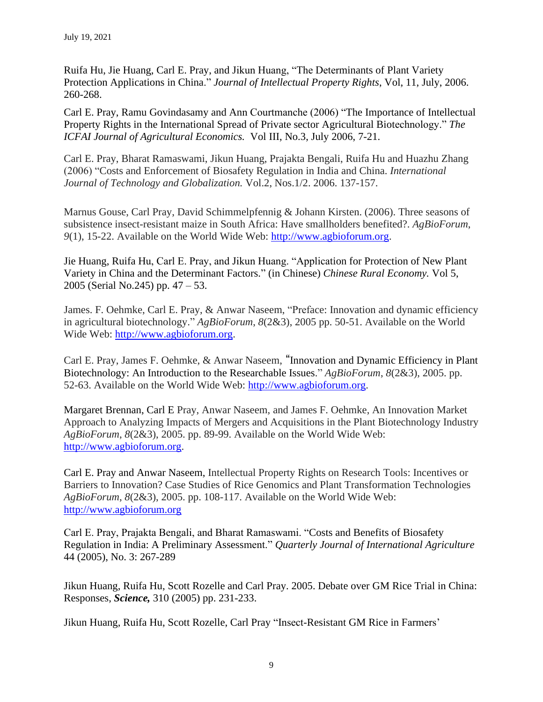Ruifa Hu, Jie Huang, Carl E. Pray, and Jikun Huang, "The Determinants of Plant Variety Protection Applications in China." *Journal of Intellectual Property Rights*, Vol, 11, July, 2006. 260-268.

Carl E. Pray, Ramu Govindasamy and Ann Courtmanche (2006) "The Importance of Intellectual Property Rights in the International Spread of Private sector Agricultural Biotechnology." *The ICFAI Journal of Agricultural Economics.* Vol III, No.3, July 2006, 7-21.

Carl E. Pray, Bharat Ramaswami, Jikun Huang, Prajakta Bengali, Ruifa Hu and Huazhu Zhang (2006) "Costs and Enforcement of Biosafety Regulation in India and China. *International Journal of Technology and Globalization.* Vol.2, Nos.1/2. 2006. 137-157.

Marnus Gouse, Carl Pray, David Schimmelpfennig & Johann Kirsten. (2006). Three seasons of subsistence insect-resistant maize in South Africa: Have smallholders benefited?. *AgBioForum*, *9*(1), 15-22. Available on the World Wide Web: [http://www.agbioforum.org.](http://www.agbioforum.org/)

Jie Huang, Ruifa Hu, Carl E. Pray, and Jikun Huang. "Application for Protection of New Plant Variety in China and the Determinant Factors." (in Chinese) *Chinese Rural Economy.* Vol 5, 2005 (Serial No.245) pp. 47 – 53.

James. F. Oehmke, Carl E. Pray, & Anwar Naseem, "Preface: Innovation and dynamic efficiency in agricultural biotechnology." *AgBioForum*, *8*(2&3), 2005 pp. 50-51. Available on the World Wide Web: [http://www.agbioforum.org.](http://www.agbioforum.org/)

Carl E. Pray, James F. Oehmke, & Anwar Naseem, "Innovation and Dynamic Efficiency in Plant Biotechnology: An Introduction to the Researchable Issues." *AgBioForum*, *8*(2&3), 2005. pp. 52-63. Available on the World Wide Web: [http://www.agbioforum.org.](http://www.agbioforum.org/)

Margaret Brennan, Carl E Pray, Anwar Naseem, and James F. Oehmke, An Innovation Market Approach to Analyzing Impacts of Mergers and Acquisitions in the Plant Biotechnology Industry *AgBioForum*, *8*(2&3), 2005. pp. 89-99. Available on the World Wide Web: [http://www.agbioforum.org.](http://www.agbioforum.org/)

Carl E. Pray and Anwar Naseem, Intellectual Property Rights on Research Tools: Incentives or Barriers to Innovation? Case Studies of Rice Genomics and Plant Transformation Technologies *AgBioForum*, *8*(2&3), 2005. pp. 108-117. Available on the World Wide Web: [http://www.agbioforum.org](http://www.agbioforum.org/) 

Carl E. Pray, Prajakta Bengali, and Bharat Ramaswami. "Costs and Benefits of Biosafety Regulation in India: A Preliminary Assessment." *Quarterly Journal of International Agriculture* 44 (2005), No. 3: 267-289

Jikun Huang, Ruifa Hu, Scott Rozelle and Carl Pray. 2005. Debate over GM Rice Trial in China: Responses, *Science,* 310 (2005) pp. 231-233.

Jikun Huang, Ruifa Hu, Scott Rozelle, Carl Pray "Insect-Resistant GM Rice in Farmers'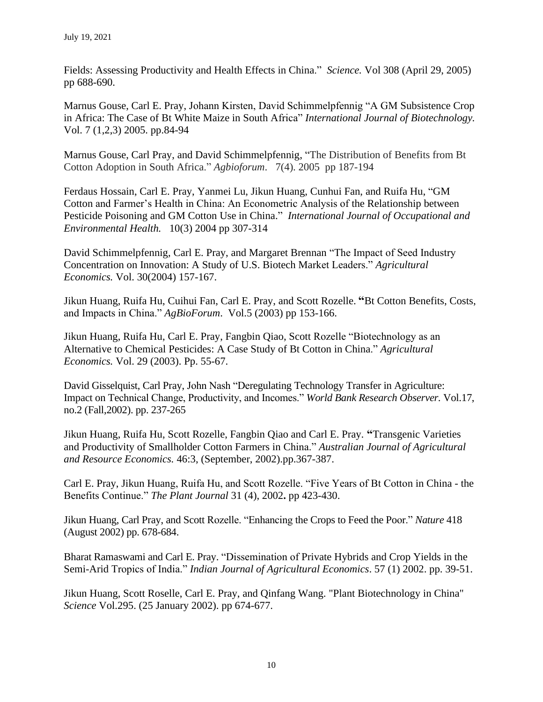Fields: Assessing Productivity and Health Effects in China." *Science.* Vol 308 (April 29, 2005) pp 688-690.

Marnus Gouse, Carl E. Pray, Johann Kirsten, David Schimmelpfennig "A GM Subsistence Crop in Africa: The Case of Bt White Maize in South Africa" *International Journal of Biotechnology.*  Vol. 7 (1,2,3) 2005. pp.84-94

Marnus Gouse, Carl Pray, and David Schimmelpfennig, "The Distribution of Benefits from Bt Cotton Adoption in South Africa." *Agbioforum*. 7(4). 2005 pp 187-194

Ferdaus Hossain, Carl E. Pray, Yanmei Lu, Jikun Huang, Cunhui Fan, and Ruifa Hu, "GM Cotton and Farmer's Health in China: An Econometric Analysis of the Relationship between Pesticide Poisoning and GM Cotton Use in China." *International Journal of Occupational and Environmental Health.* 10(3) 2004 pp 307-314

David Schimmelpfennig, Carl E. Pray, and Margaret Brennan "The Impact of Seed Industry Concentration on Innovation: A Study of U.S. Biotech Market Leaders." *Agricultural Economics.* Vol. 30(2004) 157-167.

Jikun Huang, Ruifa Hu, Cuihui Fan, Carl E. Pray, and Scott Rozelle. **"**Bt Cotton Benefits, Costs, and Impacts in China." *AgBioForum*. Vol.5 (2003) pp 153-166.

Jikun Huang, Ruifa Hu, Carl E. Pray, Fangbin Qiao, Scott Rozelle "Biotechnology as an Alternative to Chemical Pesticides: A Case Study of Bt Cotton in China." *Agricultural Economics.* Vol. 29 (2003). Pp. 55-67.

David Gisselquist, Carl Pray, John Nash "Deregulating Technology Transfer in Agriculture: Impact on Technical Change, Productivity, and Incomes." *World Bank Research Observer.* Vol.17, no.2 (Fall,2002). pp. 237-265

Jikun Huang, Ruifa Hu, Scott Rozelle, Fangbin Qiao and Carl E. Pray. **"**Transgenic Varieties and Productivity of Smallholder Cotton Farmers in China." *Australian Journal of Agricultural and Resource Economics.* 46:3, (September, 2002).pp.367-387.

Carl E. Pray, Jikun Huang, Ruifa Hu, and Scott Rozelle. "Five Years of Bt Cotton in China - the Benefits Continue." *The Plant Journal* 31 (4), 2002**.** pp 423-430.

Jikun Huang, Carl Pray, and Scott Rozelle. "Enhancing the Crops to Feed the Poor." *Nature* 418 (August 2002) pp. 678-684.

Bharat Ramaswami and Carl E. Pray. "Dissemination of Private Hybrids and Crop Yields in the Semi-Arid Tropics of India." *Indian Journal of Agricultural Economics*. 57 (1) 2002. pp. 39-51.

Jikun Huang, Scott Roselle, Carl E. Pray, and Qinfang Wang. "Plant Biotechnology in China" *Science* Vol.295. (25 January 2002). pp 674-677.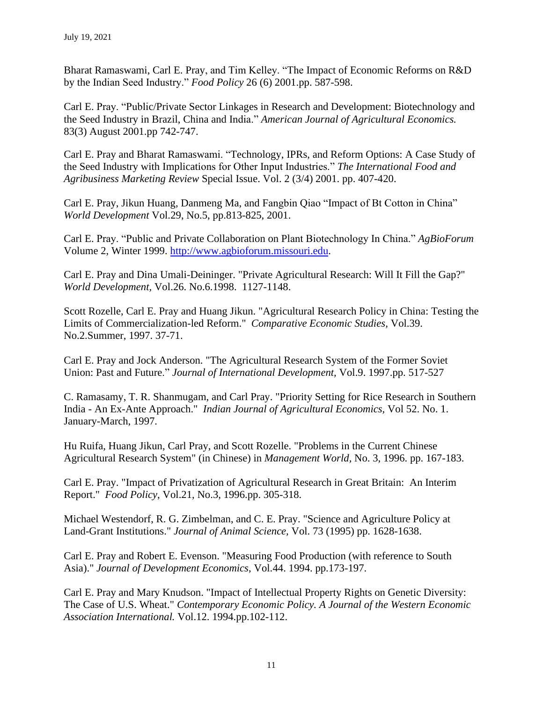Bharat Ramaswami, Carl E. Pray, and Tim Kelley. "The Impact of Economic Reforms on R&D by the Indian Seed Industry." *Food Policy* 26 (6) 2001.pp. 587-598.

Carl E. Pray. "Public/Private Sector Linkages in Research and Development: Biotechnology and the Seed Industry in Brazil, China and India." *American Journal of Agricultural Economics.* 83(3) August 2001.pp 742-747.

Carl E. Pray and Bharat Ramaswami. "Technology, IPRs, and Reform Options: A Case Study of the Seed Industry with Implications for Other Input Industries." *The International Food and Agribusiness Marketing Review* Special Issue. Vol. 2 (3/4) 2001. pp. 407-420.

Carl E. Pray, Jikun Huang, Danmeng Ma, and Fangbin Qiao "Impact of Bt Cotton in China" *World Development* Vol.29, No.5, pp.813-825, 2001.

Carl E. Pray. "Public and Private Collaboration on Plant Biotechnology In China." *AgBioForum*  Volume 2, Winter 1999. [http://www.agbioforum.missouri.edu.](http://www.agbioforum.missouri.edu/)

Carl E. Pray and Dina Umali-Deininger. "Private Agricultural Research: Will It Fill the Gap?" *World Development,* Vol.26. No.6.1998. 1127-1148.

Scott Rozelle, Carl E. Pray and Huang Jikun. "Agricultural Research Policy in China: Testing the Limits of Commercialization-led Reform." *Comparative Economic Studies,* Vol.39. No.2.Summer, 1997. 37-71.

Carl E. Pray and Jock Anderson. "The Agricultural Research System of the Former Soviet Union: Past and Future." *Journal of International Development,* Vol.9. 1997.pp. 517-527

C. Ramasamy, T. R. Shanmugam, and Carl Pray. "Priority Setting for Rice Research in Southern India - An Ex-Ante Approach." *Indian Journal of Agricultural Economics,* Vol 52. No. 1. January-March, 1997.

Hu Ruifa, Huang Jikun, Carl Pray, and Scott Rozelle. "Problems in the Current Chinese Agricultural Research System" (in Chinese) in *Management World,* No. 3, 1996. pp. 167-183.

Carl E. Pray. "Impact of Privatization of Agricultural Research in Great Britain: An Interim Report." *Food Policy*, Vol.21, No.3, 1996.pp. 305-318.

Michael Westendorf, R. G. Zimbelman, and C. E. Pray. "Science and Agriculture Policy at Land-Grant Institutions." *Journal of Animal Science,* Vol. 73 (1995) pp. 1628-1638.

Carl E. Pray and Robert E. Evenson. "Measuring Food Production (with reference to South Asia)." *Journal of Development Economics*, Vol.44. 1994. pp.173-197.

Carl E. Pray and Mary Knudson. "Impact of Intellectual Property Rights on Genetic Diversity: The Case of U.S. Wheat." *Contemporary Economic Policy. A Journal of the Western Economic Association International.* Vol.12. 1994.pp.102-112.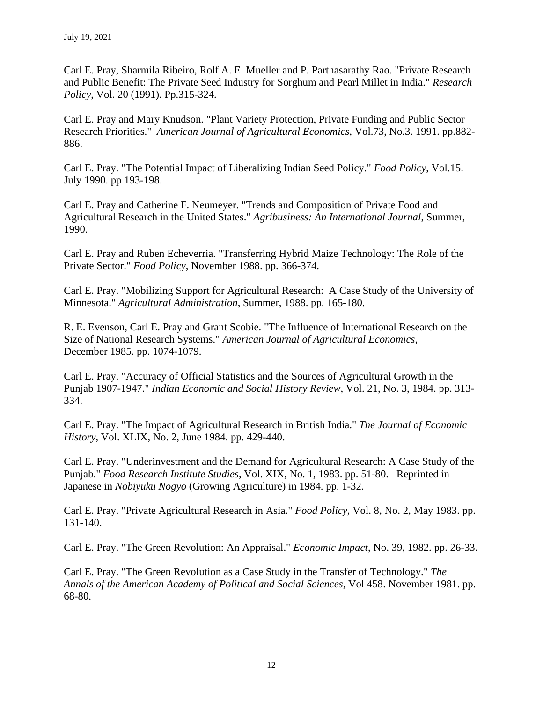Carl E. Pray, Sharmila Ribeiro, Rolf A. E. Mueller and P. Parthasarathy Rao. "Private Research and Public Benefit: The Private Seed Industry for Sorghum and Pearl Millet in India." *Research Policy*, Vol. 20 (1991). Pp.315-324.

Carl E. Pray and Mary Knudson. "Plant Variety Protection, Private Funding and Public Sector Research Priorities." *American Journal of Agricultural Economics*, Vol.73, No.3. 1991. pp.882- 886.

Carl E. Pray. "The Potential Impact of Liberalizing Indian Seed Policy." *Food Policy*, Vol.15. July 1990. pp 193-198.

Carl E. Pray and Catherine F. Neumeyer. "Trends and Composition of Private Food and Agricultural Research in the United States." *Agribusiness: An International Journal*, Summer, 1990.

Carl E. Pray and Ruben Echeverria. "Transferring Hybrid Maize Technology: The Role of the Private Sector." *Food Policy*, November 1988. pp. 366-374.

Carl E. Pray. "Mobilizing Support for Agricultural Research: A Case Study of the University of Minnesota." *Agricultural Administration*, Summer, 1988. pp. 165-180.

R. E. Evenson, Carl E. Pray and Grant Scobie. "The Influence of International Research on the Size of National Research Systems." *American Journal of Agricultural Economics*, December 1985. pp. 1074-1079.

Carl E. Pray. "Accuracy of Official Statistics and the Sources of Agricultural Growth in the Punjab 1907-1947." *Indian Economic and Social History Review*, Vol. 21, No. 3, 1984. pp. 313- 334.

Carl E. Pray. "The Impact of Agricultural Research in British India." *The Journal of Economic History*, Vol. XLIX, No. 2, June 1984. pp. 429-440.

Carl E. Pray. "Underinvestment and the Demand for Agricultural Research: A Case Study of the Punjab." *Food Research Institute Studies*, Vol. XIX, No. 1, 1983. pp. 51-80. Reprinted in Japanese in *Nobiyuku Nogyo* (Growing Agriculture) in 1984. pp. 1-32.

Carl E. Pray. "Private Agricultural Research in Asia." *Food Policy*, Vol. 8, No. 2, May 1983. pp. 131-140.

Carl E. Pray. "The Green Revolution: An Appraisal." *Economic Impact*, No. 39, 1982. pp. 26-33.

Carl E. Pray. "The Green Revolution as a Case Study in the Transfer of Technology." *The Annals of the American Academy of Political and Social Sciences*, Vol 458. November 1981. pp. 68-80.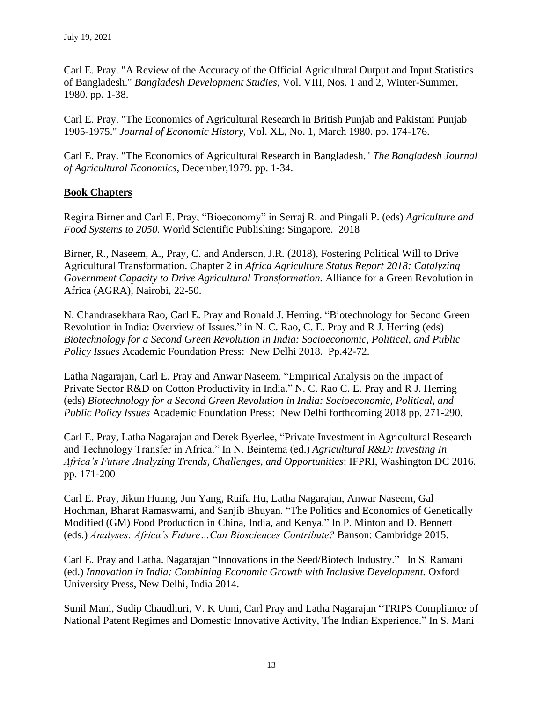Carl E. Pray. "A Review of the Accuracy of the Official Agricultural Output and Input Statistics of Bangladesh." *Bangladesh Development Studies*, Vol. VIII, Nos. 1 and 2, Winter-Summer, 1980. pp. 1-38.

Carl E. Pray. "The Economics of Agricultural Research in British Punjab and Pakistani Punjab 1905-1975." *Journal of Economic History*, Vol. XL, No. 1, March 1980. pp. 174-176.

Carl E. Pray. "The Economics of Agricultural Research in Bangladesh." *The Bangladesh Journal of Agricultural Economics*, December,1979. pp. 1-34.

# **Book Chapters**

Regina Birner and Carl E. Pray, "Bioeconomy" in Serraj R. and Pingali P. (eds) *Agriculture and Food Systems to 2050.* World Scientific Publishing: Singapore. 2018

Birner, R., Naseem, A., Pray, C. and Anderson*,* J.R*.* (2018), Fostering Political Will to Drive Agricultural Transformation. Chapter 2 in *Africa Agriculture Status Report 2018: Catalyzing Government Capacity to Drive Agricultural Transformation.* Alliance for a Green Revolution in Africa (AGRA), Nairobi, 22-50.

N. Chandrasekhara Rao, Carl E. Pray and Ronald J. Herring. "Biotechnology for Second Green Revolution in India: Overview of Issues." in N. C. Rao, C. E. Pray and R J. Herring (eds) *Biotechnology for a Second Green Revolution in India: Socioeconomic, Political, and Public Policy Issues* Academic Foundation Press: New Delhi 2018. Pp.42-72.

Latha Nagarajan, Carl E. Pray and Anwar Naseem. "Empirical Analysis on the Impact of Private Sector R&D on Cotton Productivity in India." N. C. Rao C. E. Pray and R J. Herring (eds) *Biotechnology for a Second Green Revolution in India: Socioeconomic, Political, and Public Policy Issues* Academic Foundation Press: New Delhi forthcoming 2018 pp. 271-290.

Carl E. Pray, Latha Nagarajan and Derek Byerlee, "Private Investment in Agricultural Research and Technology Transfer in Africa." In N. Beintema (ed.) *Agricultural R&D: Investing In Africa's Future Analyzing Trends, Challenges, and Opportunities*: IFPRI, Washington DC 2016. pp. 171-200

Carl E. Pray, Jikun Huang, Jun Yang, Ruifa Hu, Latha Nagarajan, Anwar Naseem, Gal Hochman, Bharat Ramaswami, and Sanjib Bhuyan. "The Politics and Economics of Genetically Modified (GM) Food Production in China, India, and Kenya." In P. Minton and D. Bennett (eds.) *Analyses: Africa's Future…Can Biosciences Contribute?* Banson: Cambridge 2015.

Carl E. Pray and Latha. Nagarajan "Innovations in the Seed/Biotech Industry." In S. Ramani (ed.) *Innovation in India: Combining Economic Growth with Inclusive Development.* Oxford University Press, New Delhi, India 2014.

Sunil Mani, Sudip Chaudhuri, V. K Unni, Carl Pray and Latha Nagarajan "TRIPS Compliance of National Patent Regimes and Domestic Innovative Activity, The Indian Experience." In S. Mani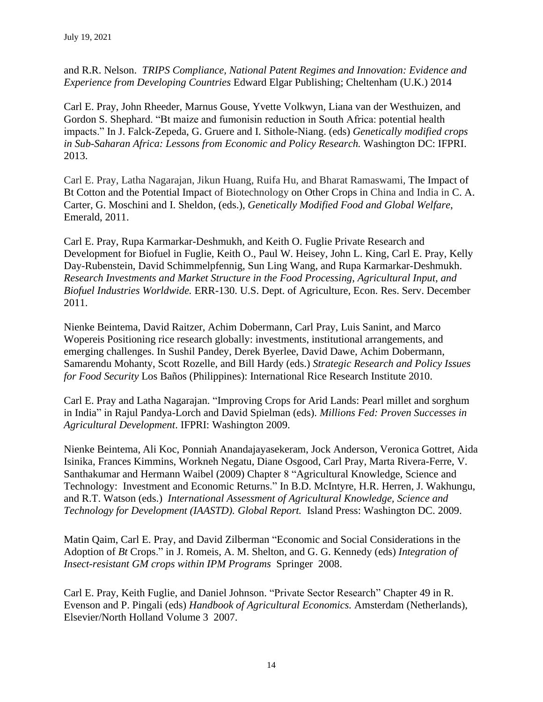and R.R. Nelson. *TRIPS Compliance, National Patent Regimes and Innovation: Evidence and Experience from Developing Countries* Edward Elgar Publishing; Cheltenham (U.K.) 2014

Carl E. Pray, John Rheeder, Marnus Gouse, Yvette Volkwyn, Liana van der Westhuizen, and Gordon S. Shephard. "Bt maize and fumonisin reduction in South Africa: potential health impacts." In J. Falck-Zepeda, G. Gruere and I. Sithole-Niang. (eds) *Genetically modified crops in Sub-Saharan Africa: Lessons from Economic and Policy Research.* Washington DC: IFPRI. 2013.

Carl E. Pray, Latha Nagarajan, Jikun Huang, Ruifa Hu, and Bharat Ramaswami, The Impact of Bt Cotton and the Potential Impact of Biotechnology on Other Crops in China and India in C. A. Carter, G. Moschini and I. Sheldon, (eds.), *Genetically Modified Food and Global Welfare*, Emerald, 2011.

Carl E. Pray, Rupa Karmarkar-Deshmukh, and Keith O. Fuglie Private Research and Development for Biofuel in Fuglie, Keith O., Paul W. Heisey, John L. King, Carl E. Pray, Kelly Day-Rubenstein, David Schimmelpfennig, Sun Ling Wang, and Rupa Karmarkar-Deshmukh. *Research Investments and Market Structure in the Food Processing, Agricultural Input, and Biofuel Industries Worldwide.* ERR-130. U.S. Dept. of Agriculture, Econ. Res. Serv. December 2011.

Nienke Beintema, David Raitzer, Achim Dobermann, Carl Pray, Luis Sanint, and Marco Wopereis Positioning rice research globally: investments, institutional arrangements, and emerging challenges. In Sushil Pandey, Derek Byerlee, David Dawe, Achim Dobermann, Samarendu Mohanty, Scott Rozelle, and Bill Hardy (eds.) *Strategic Research and Policy Issues for Food Security* Los Baños (Philippines): International Rice Research Institute 2010.

Carl E. Pray and Latha Nagarajan. "Improving Crops for Arid Lands: Pearl millet and sorghum in India" in Rajul Pandya-Lorch and David Spielman (eds). *Millions Fed: Proven Successes in Agricultural Development*. IFPRI: Washington 2009.

Nienke Beintema, Ali Koc, Ponniah Anandajayasekeram, Jock Anderson, Veronica Gottret, Aida Isinika, Frances Kimmins, Workneh Negatu, Diane Osgood, Carl Pray, Marta Rivera-Ferre, V. Santhakumar and Hermann Waibel (2009) Chapter 8 "Agricultural Knowledge, Science and Technology: Investment and Economic Returns." In B.D. McIntyre, H.R. Herren, J. Wakhungu, and R.T. Watson (eds.) *International Assessment of Agricultural Knowledge, Science and Technology for Development (IAASTD). Global Report.* Island Press: Washington DC. 2009.

Matin Qaim, Carl E. Pray, and David Zilberman "Economic and Social Considerations in the Adoption of *Bt* Crops." in J. Romeis, A. M. Shelton, and G. G. Kennedy (eds) *Integration of Insect-resistant GM crops within IPM Programs* Springer 2008.

Carl E. Pray, Keith Fuglie, and Daniel Johnson. "Private Sector Research" Chapter 49 in R. Evenson and P. Pingali (eds) *Handbook of Agricultural Economics.* Amsterdam (Netherlands), Elsevier/North Holland Volume 3 2007.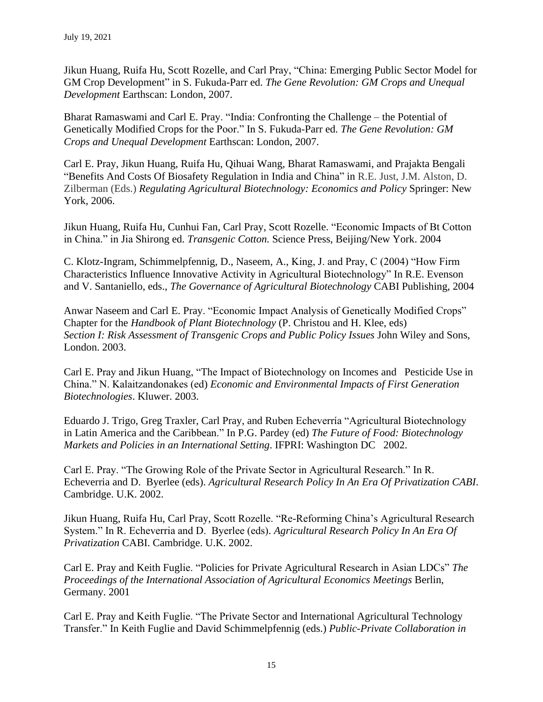Jikun Huang, Ruifa Hu, Scott Rozelle, and Carl Pray, "China: Emerging Public Sector Model for GM Crop Development" in S. Fukuda-Parr ed. *The Gene Revolution: GM Crops and Unequal Development* Earthscan: London, 2007.

Bharat Ramaswami and Carl E. Pray. "India: Confronting the Challenge – the Potential of Genetically Modified Crops for the Poor." In S. Fukuda-Parr ed. *The Gene Revolution: GM Crops and Unequal Development* Earthscan: London, 2007.

Carl E. Pray, Jikun Huang, Ruifa Hu, Qihuai Wang, Bharat Ramaswami, and Prajakta Bengali "Benefits And Costs Of Biosafety Regulation in India and China" in R.E. Just, J.M. Alston, D. Zilberman (Eds.) *Regulating Agricultural Biotechnology: Economics and Policy* Springer: New York, 2006.

Jikun Huang, Ruifa Hu, Cunhui Fan, Carl Pray, Scott Rozelle. "Economic Impacts of Bt Cotton in China." in Jia Shirong ed. *Transgenic Cotton.* Science Press, Beijing/New York. 2004

C. Klotz-Ingram, Schimmelpfennig, D., Naseem, A., King, J. and Pray, C (2004) "How Firm Characteristics Influence Innovative Activity in Agricultural Biotechnology" In R.E. Evenson and V. Santaniello, eds., *The Governance of Agricultural Biotechnology* CABI Publishing, 2004

Anwar Naseem and Carl E. Pray. "Economic Impact Analysis of Genetically Modified Crops" Chapter for the *Handbook of Plant Biotechnology* (P. Christou and H. Klee, eds) *Section I: Risk Assessment of Transgenic Crops and Public Policy Issues* John Wiley and Sons, London. 2003.

Carl E. Pray and Jikun Huang, "The Impact of Biotechnology on Incomes and Pesticide Use in China." N. Kalaitzandonakes (ed) *Economic and Environmental Impacts of First Generation Biotechnologies*. Kluwer. 2003.

Eduardo J. Trigo, Greg Traxler, Carl Pray, and Ruben Echeverría "Agricultural Biotechnology in Latin America and the Caribbean." In P.G. Pardey (ed) *The Future of Food: Biotechnology Markets and Policies in an International Setting*. IFPRI: Washington DC 2002.

Carl E. Pray. "The Growing Role of the Private Sector in Agricultural Research." In R. Echeverria and D. Byerlee (eds). *Agricultural Research Policy In An Era Of Privatization CABI*. Cambridge. U.K. 2002.

Jikun Huang, Ruifa Hu, Carl Pray, Scott Rozelle. "Re-Reforming China's Agricultural Research System." In R. Echeverria and D. Byerlee (eds). *Agricultural Research Policy In An Era Of Privatization* CABI. Cambridge. U.K. 2002.

Carl E. Pray and Keith Fuglie. "Policies for Private Agricultural Research in Asian LDCs" *The Proceedings of the International Association of Agricultural Economics Meetings* Berlin, Germany. 2001

Carl E. Pray and Keith Fuglie. "The Private Sector and International Agricultural Technology Transfer." In Keith Fuglie and David Schimmelpfennig (eds.) *Public-Private Collaboration in*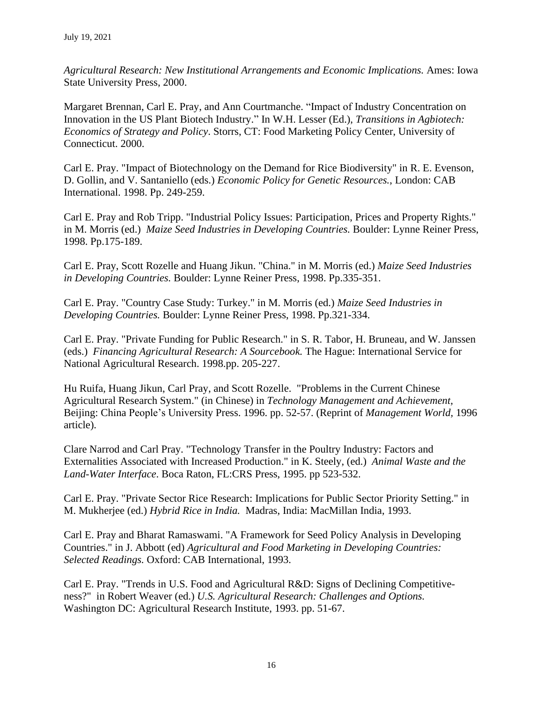*Agricultural Research: New Institutional Arrangements and Economic Implications.* Ames: Iowa State University Press, 2000.

Margaret Brennan, Carl E. Pray, and Ann Courtmanche. "Impact of Industry Concentration on Innovation in the US Plant Biotech Industry." In W.H. Lesser (Ed.), *Transitions in Agbiotech: Economics of Strategy and Policy*. Storrs, CT: Food Marketing Policy Center, University of Connecticut. 2000.

Carl E. Pray. "Impact of Biotechnology on the Demand for Rice Biodiversity" in R. E. Evenson, D. Gollin, and V. Santaniello (eds.) *Economic Policy for Genetic Resources.*, London: CAB International. 1998. Pp. 249-259.

Carl E. Pray and Rob Tripp. "Industrial Policy Issues: Participation, Prices and Property Rights." in M. Morris (ed.) *Maize Seed Industries in Developing Countries.* Boulder: Lynne Reiner Press, 1998. Pp.175-189.

Carl E. Pray, Scott Rozelle and Huang Jikun. "China." in M. Morris (ed.) *Maize Seed Industries in Developing Countries.* Boulder: Lynne Reiner Press, 1998. Pp.335-351.

Carl E. Pray. "Country Case Study: Turkey." in M. Morris (ed.) *Maize Seed Industries in Developing Countries.* Boulder: Lynne Reiner Press, 1998. Pp.321-334.

Carl E. Pray. "Private Funding for Public Research." in S. R. Tabor, H. Bruneau, and W. Janssen (eds.) *Financing Agricultural Research: A Sourcebook.* The Hague: International Service for National Agricultural Research. 1998.pp. 205-227.

Hu Ruifa, Huang Jikun, Carl Pray, and Scott Rozelle. "Problems in the Current Chinese Agricultural Research System." (in Chinese) in *Technology Management and Achievement,* Beijing: China People's University Press. 1996. pp. 52-57. (Reprint of *Management World,* 1996 article).

Clare Narrod and Carl Pray. "Technology Transfer in the Poultry Industry: Factors and Externalities Associated with Increased Production." in K. Steely, (ed.) *Animal Waste and the Land-Water Interface*. Boca Raton, FL:CRS Press, 1995. pp 523-532.

Carl E. Pray. "Private Sector Rice Research: Implications for Public Sector Priority Setting." in M. Mukherjee (ed.) *Hybrid Rice in India.* Madras, India: MacMillan India, 1993.

Carl E. Pray and Bharat Ramaswami. "A Framework for Seed Policy Analysis in Developing Countries." in J. Abbott (ed) *Agricultural and Food Marketing in Developing Countries: Selected Readings.* Oxford: CAB International, 1993.

Carl E. Pray. "Trends in U.S. Food and Agricultural R&D: Signs of Declining Competitiveness?" in Robert Weaver (ed.) *U.S. Agricultural Research: Challenges and Options.* Washington DC: Agricultural Research Institute, 1993. pp. 51-67.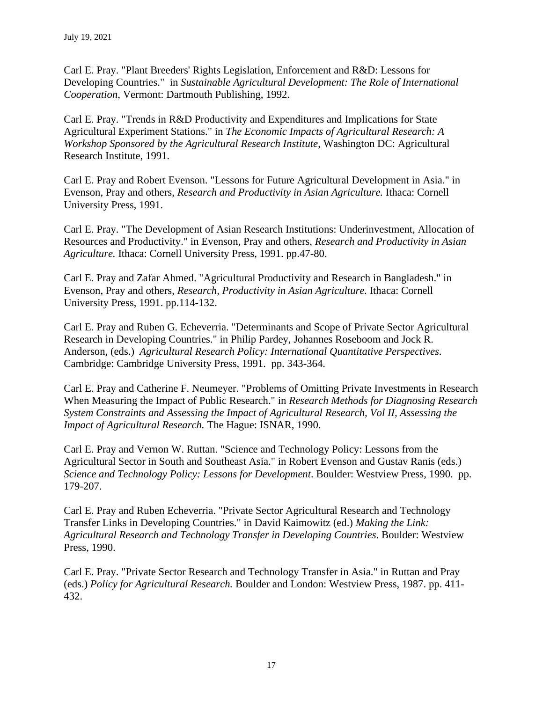Carl E. Pray. "Plant Breeders' Rights Legislation, Enforcement and R&D: Lessons for Developing Countries." in *Sustainable Agricultural Development: The Role of International Cooperation*, Vermont: Dartmouth Publishing, 1992.

Carl E. Pray. "Trends in R&D Productivity and Expenditures and Implications for State Agricultural Experiment Stations." in *The Economic Impacts of Agricultural Research: A Workshop Sponsored by the Agricultural Research Institute*, Washington DC: Agricultural Research Institute, 1991.

Carl E. Pray and Robert Evenson. "Lessons for Future Agricultural Development in Asia." in Evenson, Pray and others, *Research and Productivity in Asian Agriculture.* Ithaca: Cornell University Press, 1991.

Carl E. Pray. "The Development of Asian Research Institutions: Underinvestment, Allocation of Resources and Productivity." in Evenson, Pray and others, *Research and Productivity in Asian Agriculture.* Ithaca: Cornell University Press, 1991. pp.47-80.

Carl E. Pray and Zafar Ahmed. "Agricultural Productivity and Research in Bangladesh." in Evenson, Pray and others, *Research, Productivity in Asian Agriculture.* Ithaca: Cornell University Press, 1991. pp.114-132.

Carl E. Pray and Ruben G. Echeverria. "Determinants and Scope of Private Sector Agricultural Research in Developing Countries." in Philip Pardey, Johannes Roseboom and Jock R. Anderson, (eds.) *Agricultural Research Policy: International Quantitative Perspectives*. Cambridge: Cambridge University Press, 1991. pp. 343-364.

Carl E. Pray and Catherine F. Neumeyer. "Problems of Omitting Private Investments in Research When Measuring the Impact of Public Research." in *Research Methods for Diagnosing Research System Constraints and Assessing the Impact of Agricultural Research, Vol II, Assessing the Impact of Agricultural Research.* The Hague: ISNAR, 1990.

Carl E. Pray and Vernon W. Ruttan. "Science and Technology Policy: Lessons from the Agricultural Sector in South and Southeast Asia." in Robert Evenson and Gustav Ranis (eds.) *Science and Technology Policy: Lessons for Development*. Boulder: Westview Press, 1990. pp. 179-207.

Carl E. Pray and Ruben Echeverria. "Private Sector Agricultural Research and Technology Transfer Links in Developing Countries." in David Kaimowitz (ed.) *Making the Link: Agricultural Research and Technology Transfer in Developing Countries*. Boulder: Westview Press, 1990.

Carl E. Pray. "Private Sector Research and Technology Transfer in Asia." in Ruttan and Pray (eds.) *Policy for Agricultural Research.* Boulder and London: Westview Press, 1987. pp. 411- 432.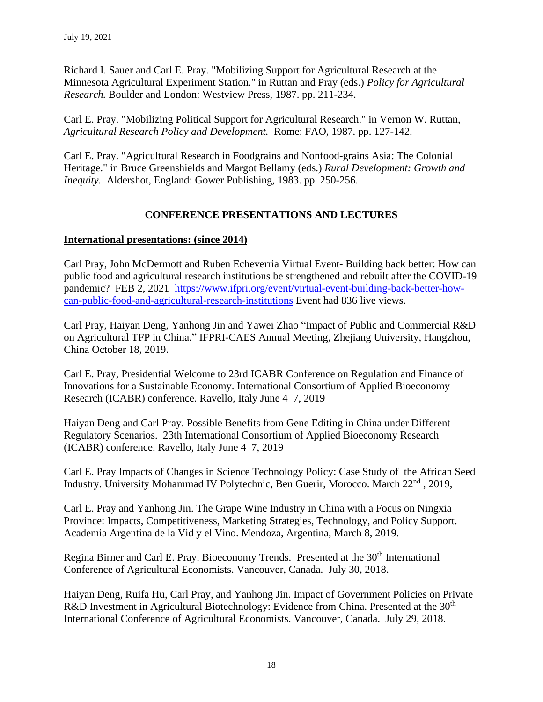Richard I. Sauer and Carl E. Pray. "Mobilizing Support for Agricultural Research at the Minnesota Agricultural Experiment Station." in Ruttan and Pray (eds.) *Policy for Agricultural Research.* Boulder and London: Westview Press, 1987. pp. 211-234.

Carl E. Pray. "Mobilizing Political Support for Agricultural Research." in Vernon W. Ruttan, *Agricultural Research Policy and Development.* Rome: FAO, 1987. pp. 127-142.

Carl E. Pray. "Agricultural Research in Foodgrains and Nonfood-grains Asia: The Colonial Heritage." in Bruce Greenshields and Margot Bellamy (eds.) *Rural Development: Growth and Inequity.* Aldershot, England: Gower Publishing, 1983. pp. 250-256.

# **CONFERENCE PRESENTATIONS AND LECTURES**

## **International presentations: (since 2014)**

Carl Pray, John McDermott and Ruben Echeverria Virtual Event- Building back better: How can public food and agricultural research institutions be strengthened and rebuilt after the COVID-19 pandemic? FEB 2, 2021 [https://www.ifpri.org/event/virtual-event-building-back-better-how](https://www.ifpri.org/event/virtual-event-building-back-better-how-can-public-food-and-agricultural-research-institutions)[can-public-food-and-agricultural-research-institutions](https://www.ifpri.org/event/virtual-event-building-back-better-how-can-public-food-and-agricultural-research-institutions) Event had 836 live views.

Carl Pray, Haiyan Deng, Yanhong Jin and Yawei Zhao "Impact of Public and Commercial R&D on Agricultural TFP in China." IFPRI-CAES Annual Meeting, Zhejiang University, Hangzhou, China October 18, 2019.

Carl E. Pray, Presidential Welcome to 23rd ICABR Conference on Regulation and Finance of Innovations for a Sustainable Economy. International Consortium of Applied Bioeconomy Research (ICABR) conference. Ravello, Italy June 4–7, 2019

Haiyan Deng and Carl Pray. Possible Benefits from Gene Editing in China under Different Regulatory Scenarios. 23th International Consortium of Applied Bioeconomy Research (ICABR) conference. Ravello, Italy June 4–7, 2019

Carl E. Pray Impacts of Changes in Science Technology Policy: Case Study of the African Seed Industry. University Mohammad IV Polytechnic, Ben Guerir, Morocco. March 22<sup>nd</sup>, 2019,

Carl E. Pray and Yanhong Jin. The Grape Wine Industry in China with a Focus on Ningxia Province: Impacts, Competitiveness, Marketing Strategies, Technology, and Policy Support. Academia Argentina de la Vid y el Vino. Mendoza, Argentina, March 8, 2019.

Regina Birner and Carl E. Pray. Bioeconomy Trends. Presented at the 30<sup>th</sup> International Conference of Agricultural Economists. Vancouver, Canada. July 30, 2018.

Haiyan Deng, Ruifa Hu, Carl Pray, and Yanhong Jin. Impact of Government Policies on Private R&D Investment in Agricultural Biotechnology: Evidence from China. Presented at the 30<sup>th</sup> International Conference of Agricultural Economists. Vancouver, Canada. July 29, 2018.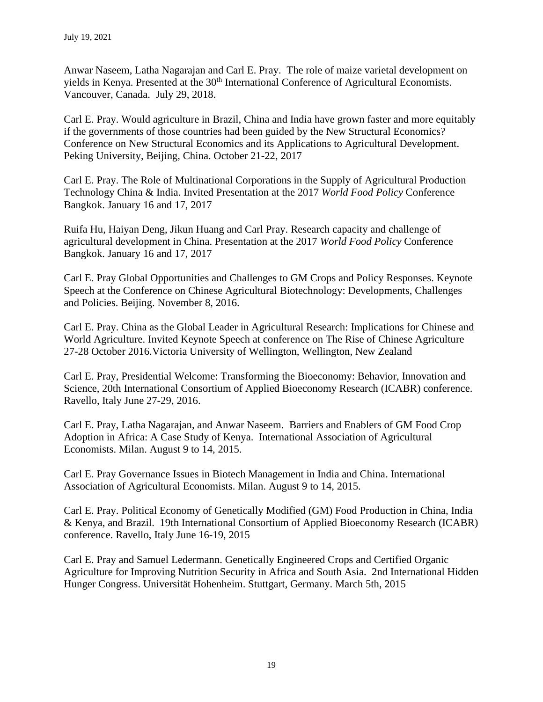Anwar Naseem, Latha Nagarajan and Carl E. Pray. The role of maize varietal development on yields in Kenya. Presented at the 30<sup>th</sup> International Conference of Agricultural Economists. Vancouver, Canada. July 29, 2018.

Carl E. Pray. Would agriculture in Brazil, China and India have grown faster and more equitably if the governments of those countries had been guided by the New Structural Economics? Conference on New Structural Economics and its Applications to Agricultural Development. Peking University, Beijing, China. October 21-22, 2017

Carl E. Pray. The Role of Multinational Corporations in the Supply of Agricultural Production Technology China & India. Invited Presentation at the 2017 *World Food Policy* Conference Bangkok. January 16 and 17, 2017

Ruifa Hu, Haiyan Deng, Jikun Huang and Carl Pray. Research capacity and challenge of agricultural development in China. Presentation at the 2017 *World Food Policy* Conference Bangkok. January 16 and 17, 2017

Carl E. Pray Global Opportunities and Challenges to GM Crops and Policy Responses. Keynote Speech at the Conference on Chinese Agricultural Biotechnology: Developments, Challenges and Policies. Beijing. November 8, 2016.

Carl E. Pray. China as the Global Leader in Agricultural Research: Implications for Chinese and World Agriculture. Invited Keynote Speech at conference on The Rise of Chinese Agriculture 27-28 October 2016.Victoria University of Wellington, Wellington, New Zealand

Carl E. Pray, Presidential Welcome: Transforming the Bioeconomy: Behavior, Innovation and Science, 20th International Consortium of Applied Bioeconomy Research (ICABR) conference. Ravello, Italy June 27-29, 2016.

Carl E. Pray, Latha Nagarajan, and Anwar Naseem. Barriers and Enablers of GM Food Crop Adoption in Africa: A Case Study of Kenya. International Association of Agricultural Economists. Milan. August 9 to 14, 2015.

Carl E. Pray Governance Issues in Biotech Management in India and China. International Association of Agricultural Economists. Milan. August 9 to 14, 2015.

Carl E. Pray. Political Economy of Genetically Modified (GM) Food Production in China, India & Kenya, and Brazil. 19th International Consortium of Applied Bioeconomy Research (ICABR) conference. Ravello, Italy June 16-19, 2015

Carl E. Pray and Samuel Ledermann. Genetically Engineered Crops and Certified Organic Agriculture for Improving Nutrition Security in Africa and South Asia. 2nd International Hidden Hunger Congress. Universität Hohenheim. Stuttgart, Germany. March 5th, 2015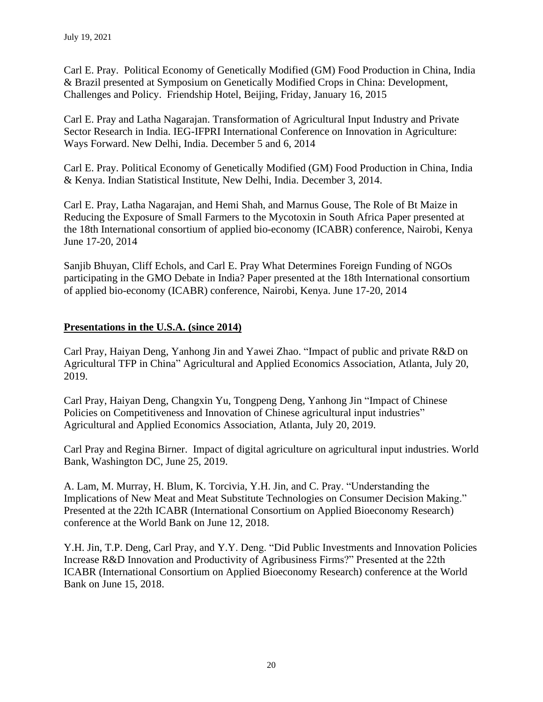Carl E. Pray. Political Economy of Genetically Modified (GM) Food Production in China, India & Brazil presented at Symposium on Genetically Modified Crops in China: Development, Challenges and Policy. Friendship Hotel, Beijing, Friday, January 16, 2015

Carl E. Pray and Latha Nagarajan. Transformation of Agricultural Input Industry and Private Sector Research in India. IEG-IFPRI International Conference on Innovation in Agriculture: Ways Forward. New Delhi, India. December 5 and 6, 2014

Carl E. Pray. Political Economy of Genetically Modified (GM) Food Production in China, India & Kenya. Indian Statistical Institute, New Delhi, India. December 3, 2014.

Carl E. Pray, Latha Nagarajan, and Hemi Shah, and Marnus Gouse, The Role of Bt Maize in Reducing the Exposure of Small Farmers to the Mycotoxin in South Africa Paper presented at the 18th International consortium of applied bio-economy (ICABR) conference, Nairobi, Kenya June 17-20, 2014

Sanjib Bhuyan, Cliff Echols, and Carl E. Pray What Determines Foreign Funding of NGOs participating in the GMO Debate in India? Paper presented at the 18th International consortium of applied bio-economy (ICABR) conference, Nairobi, Kenya. June 17-20, 2014

# **Presentations in the U.S.A. (since 2014)**

Carl Pray, Haiyan Deng, Yanhong Jin and Yawei Zhao. "Impact of public and private R&D on Agricultural TFP in China" Agricultural and Applied Economics Association, Atlanta, July 20, 2019.

Carl Pray, Haiyan Deng, Changxin Yu, Tongpeng Deng, Yanhong Jin "Impact of Chinese Policies on Competitiveness and Innovation of Chinese agricultural input industries" Agricultural and Applied Economics Association, Atlanta, July 20, 2019.

Carl Pray and Regina Birner. Impact of digital agriculture on agricultural input industries. World Bank, Washington DC, June 25, 2019.

A. Lam, M. Murray, H. Blum, K. Torcivia, Y.H. Jin, and C. Pray. "Understanding the Implications of New Meat and Meat Substitute Technologies on Consumer Decision Making." Presented at the 22th ICABR (International Consortium on Applied Bioeconomy Research) conference at the World Bank on June 12, 2018.

Y.H. Jin, T.P. Deng, Carl Pray, and Y.Y. Deng. "Did Public Investments and Innovation Policies Increase R&D Innovation and Productivity of Agribusiness Firms?" Presented at the 22th ICABR (International Consortium on Applied Bioeconomy Research) conference at the World Bank on June 15, 2018.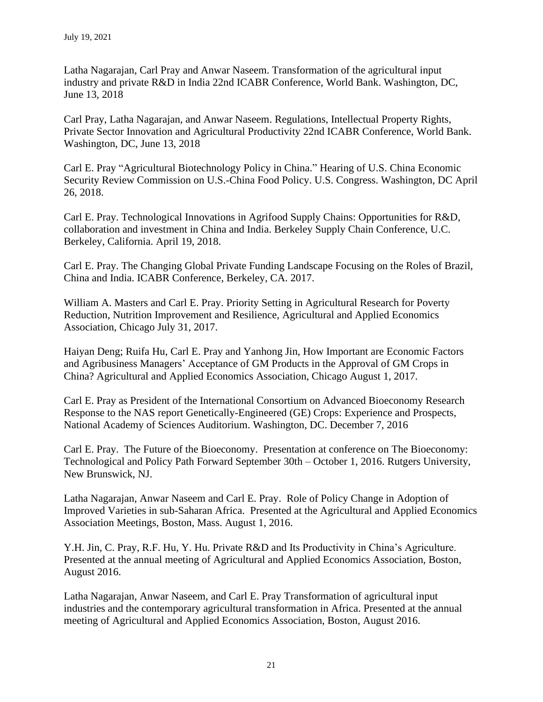Latha Nagarajan, Carl Pray and Anwar Naseem. Transformation of the agricultural input industry and private R&D in India 22nd ICABR Conference, World Bank. Washington, DC, June 13, 2018

Carl Pray, Latha Nagarajan, and Anwar Naseem. Regulations, Intellectual Property Rights, Private Sector Innovation and Agricultural Productivity 22nd ICABR Conference, World Bank. Washington, DC, June 13, 2018

Carl E. Pray "Agricultural Biotechnology Policy in China." Hearing of U.S. China Economic Security Review Commission on U.S.-China Food Policy. U.S. Congress. Washington, DC April 26, 2018.

Carl E. Pray. Technological Innovations in Agrifood Supply Chains: Opportunities for R&D, collaboration and investment in China and India. Berkeley Supply Chain Conference, U.C. Berkeley, California. April 19, 2018.

Carl E. Pray. The Changing Global Private Funding Landscape Focusing on the Roles of Brazil, China and India. ICABR Conference, Berkeley, CA. 2017.

William A. Masters and Carl E. Pray. Priority Setting in Agricultural Research for Poverty Reduction, Nutrition Improvement and Resilience, Agricultural and Applied Economics Association, Chicago July 31, 2017.

Haiyan Deng; Ruifa Hu, Carl E. Pray and Yanhong Jin, How Important are Economic Factors and Agribusiness Managers' Acceptance of GM Products in the Approval of GM Crops in China? Agricultural and Applied Economics Association, Chicago August 1, 2017.

Carl E. Pray as President of the International Consortium on Advanced Bioeconomy Research Response to the NAS report Genetically-Engineered (GE) Crops: Experience and Prospects, National Academy of Sciences Auditorium. Washington, DC. December 7, 2016

Carl E. Pray. The Future of the Bioeconomy. Presentation at conference on The Bioeconomy: Technological and Policy Path Forward September 30th – October 1, 2016. Rutgers University, New Brunswick, NJ.

Latha Nagarajan, Anwar Naseem and Carl E. Pray. Role of Policy Change in Adoption of Improved Varieties in sub-Saharan Africa. Presented at the Agricultural and Applied Economics Association Meetings, Boston, Mass. August 1, 2016.

Y.H. Jin, C. Pray, R.F. Hu, Y. Hu. Private R&D and Its Productivity in China's Agriculture. Presented at the annual meeting of Agricultural and Applied Economics Association, Boston, August 2016.

Latha Nagarajan, Anwar Naseem, and Carl E. Pray Transformation of agricultural input industries and the contemporary agricultural transformation in Africa. Presented at the annual meeting of Agricultural and Applied Economics Association, Boston, August 2016.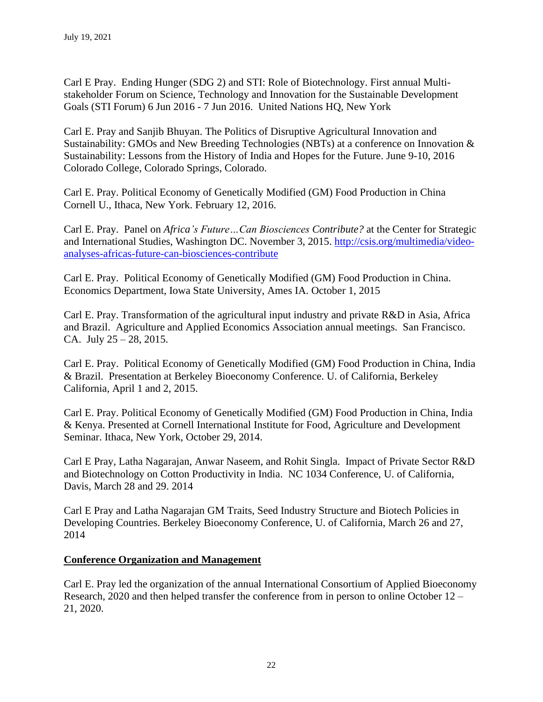Carl E Pray. Ending Hunger (SDG 2) and STI: Role of Biotechnology. First annual Multistakeholder Forum on Science, Technology and Innovation for the Sustainable Development Goals (STI Forum) 6 Jun 2016 - 7 Jun 2016. United Nations HQ, New York

Carl E. Pray and Sanjib Bhuyan. The Politics of Disruptive Agricultural Innovation and Sustainability: GMOs and New Breeding Technologies (NBTs) at a conference on Innovation & Sustainability: Lessons from the History of India and Hopes for the Future. June 9-10, 2016 Colorado College, Colorado Springs, Colorado.

Carl E. Pray. Political Economy of Genetically Modified (GM) Food Production in China Cornell U., Ithaca, New York. February 12, 2016.

Carl E. Pray. Panel on *Africa's Future…Can Biosciences Contribute?* at the Center for Strategic and International Studies, Washington DC. November 3, 2015. [http://csis.org/multimedia/video](http://csis.org/multimedia/video-analyses-africas-future-can-biosciences-contribute)[analyses-africas-future-can-biosciences-contribute](http://csis.org/multimedia/video-analyses-africas-future-can-biosciences-contribute)

Carl E. Pray. Political Economy of Genetically Modified (GM) Food Production in China. Economics Department, Iowa State University, Ames IA. October 1, 2015

Carl E. Pray. Transformation of the agricultural input industry and private R&D in Asia, Africa and Brazil. Agriculture and Applied Economics Association annual meetings. San Francisco. CA. July  $25 - 28$ , 2015.

Carl E. Pray. Political Economy of Genetically Modified (GM) Food Production in China, India & Brazil. Presentation at Berkeley Bioeconomy Conference. U. of California, Berkeley California, April 1 and 2, 2015.

Carl E. Pray. Political Economy of Genetically Modified (GM) Food Production in China, India & Kenya. Presented at Cornell International Institute for Food, Agriculture and Development Seminar. Ithaca, New York, October 29, 2014.

Carl E Pray, Latha Nagarajan, Anwar Naseem, and Rohit Singla. Impact of Private Sector R&D and Biotechnology on Cotton Productivity in India. NC 1034 Conference, U. of California, Davis, March 28 and 29. 2014

Carl E Pray and Latha Nagarajan GM Traits, Seed Industry Structure and Biotech Policies in Developing Countries. Berkeley Bioeconomy Conference, U. of California, March 26 and 27, 2014

## **Conference Organization and Management**

Carl E. Pray led the organization of the annual International Consortium of Applied Bioeconomy Research, 2020 and then helped transfer the conference from in person to online October 12 – 21, 2020.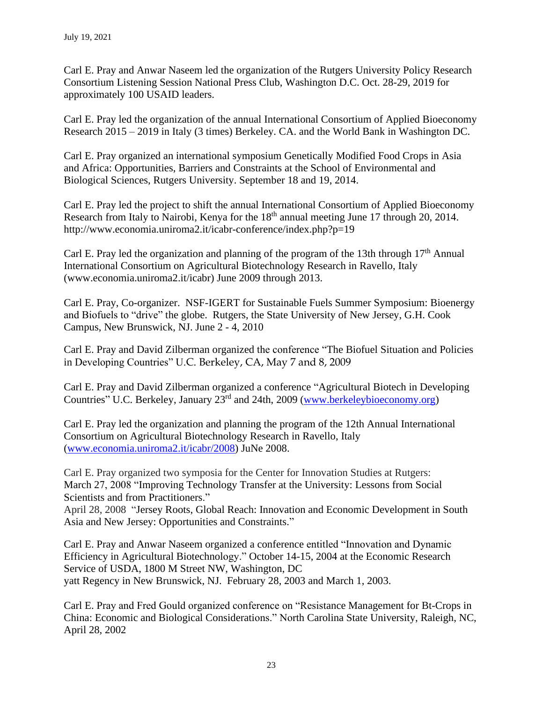Carl E. Pray and Anwar Naseem led the organization of the Rutgers University Policy Research Consortium Listening Session National Press Club, Washington D.C. Oct. 28-29, 2019 for approximately 100 USAID leaders.

Carl E. Pray led the organization of the annual International Consortium of Applied Bioeconomy Research 2015 – 2019 in Italy (3 times) Berkeley. CA. and the World Bank in Washington DC.

Carl E. Pray organized an international symposium Genetically Modified Food Crops in Asia and Africa: Opportunities, Barriers and Constraints at the School of Environmental and Biological Sciences, Rutgers University. September 18 and 19, 2014.

Carl E. Pray led the project to shift the annual International Consortium of Applied Bioeconomy Research from Italy to Nairobi, Kenya for the 18<sup>th</sup> annual meeting June 17 through 20, 2014. http://www.economia.uniroma2.it/icabr-conference/index.php?p=19

Carl E. Pray led the organization and planning of the program of the 13th through  $17<sup>th</sup>$  Annual International Consortium on Agricultural Biotechnology Research in Ravello, Italy (www.economia.uniroma2.it/icabr) June 2009 through 2013.

Carl E. Pray, Co-organizer. NSF-IGERT for Sustainable Fuels Summer Symposium: Bioenergy and Biofuels to "drive" the globe. Rutgers, the State University of New Jersey, G.H. Cook Campus, New Brunswick, NJ. June 2 - 4, 2010

Carl E. Pray and David Zilberman organized the conference "The Biofuel Situation and Policies in Developing Countries" U.C. Berkeley, CA, May 7 and 8, 2009

Carl E. Pray and David Zilberman organized a conference "Agricultural Biotech in Developing Countries" U.C. Berkeley, January 23<sup>rd</sup> and 24th, 2009 [\(www.berkeleybioeconomy.org\)](http://www.berkeleybioeconomy.org/)

Carl E. Pray led the organization and planning the program of the 12th Annual International Consortium on Agricultural Biotechnology Research in Ravello, Italy [\(www.economia.uniroma2.it/icabr/2008\)](http://www.economia.uniroma2.it/icabr/2008) JuNe 2008.

Carl E. Pray organized two symposia for the Center for Innovation Studies at Rutgers: March 27, 2008 "Improving Technology Transfer at the University: Lessons from Social Scientists and from Practitioners."

April 28, 2008 "Jersey Roots, Global Reach: Innovation and Economic Development in South Asia and New Jersey: Opportunities and Constraints."

Carl E. Pray and Anwar Naseem organized a conference entitled "Innovation and Dynamic Efficiency in Agricultural Biotechnology." October 14-15, 2004 at the Economic Research Service of USDA, 1800 M Street NW, Washington, DC yatt Regency in New Brunswick, NJ. February 28, 2003 and March 1, 2003.

Carl E. Pray and Fred Gould organized conference on "Resistance Management for Bt-Crops in China: Economic and Biological Considerations." North Carolina State University, Raleigh, NC, April 28, 2002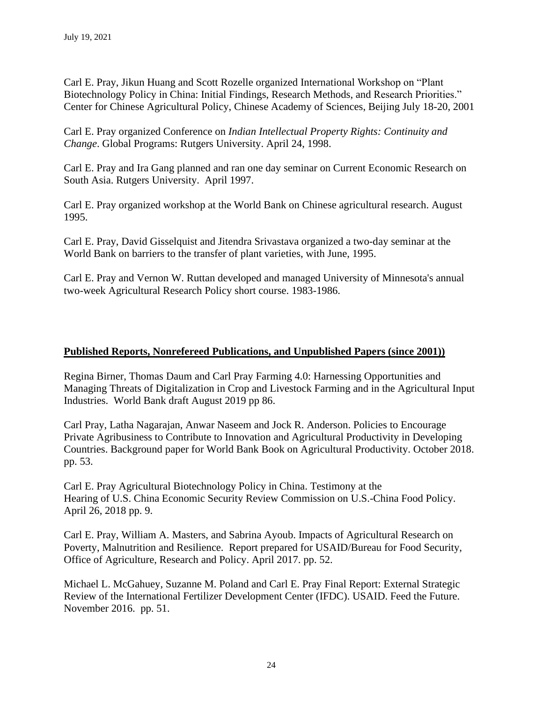Carl E. Pray, Jikun Huang and Scott Rozelle organized International Workshop on "Plant Biotechnology Policy in China: Initial Findings, Research Methods, and Research Priorities." Center for Chinese Agricultural Policy, Chinese Academy of Sciences, Beijing July 18-20, 2001

Carl E. Pray organized Conference on *Indian Intellectual Property Rights: Continuity and Change*. Global Programs: Rutgers University. April 24, 1998.

Carl E. Pray and Ira Gang planned and ran one day seminar on Current Economic Research on South Asia. Rutgers University. April 1997.

Carl E. Pray organized workshop at the World Bank on Chinese agricultural research. August 1995.

Carl E. Pray, David Gisselquist and Jitendra Srivastava organized a two-day seminar at the World Bank on barriers to the transfer of plant varieties, with June, 1995.

Carl E. Pray and Vernon W. Ruttan developed and managed University of Minnesota's annual two-week Agricultural Research Policy short course. 1983-1986.

## **Published Reports, Nonrefereed Publications, and Unpublished Papers (since 2001))**

Regina Birner, Thomas Daum and Carl Pray Farming 4.0: Harnessing Opportunities and Managing Threats of Digitalization in Crop and Livestock Farming and in the Agricultural Input Industries. World Bank draft August 2019 pp 86.

Carl Pray, Latha Nagarajan, Anwar Naseem and Jock R. Anderson. Policies to Encourage Private Agribusiness to Contribute to Innovation and Agricultural Productivity in Developing Countries. Background paper for World Bank Book on Agricultural Productivity. October 2018. pp. 53.

Carl E. Pray Agricultural Biotechnology Policy in China. Testimony at the Hearing of U.S. China Economic Security Review Commission on U.S.-China Food Policy. April 26, 2018 pp. 9.

Carl E. Pray, William A. Masters, and Sabrina Ayoub. Impacts of Agricultural Research on Poverty, Malnutrition and Resilience. Report prepared for USAID/Bureau for Food Security, Office of Agriculture, Research and Policy. April 2017. pp. 52.

Michael L. McGahuey, Suzanne M. Poland and Carl E. Pray Final Report: External Strategic Review of the International Fertilizer Development Center (IFDC). USAID. Feed the Future. November 2016. pp. 51.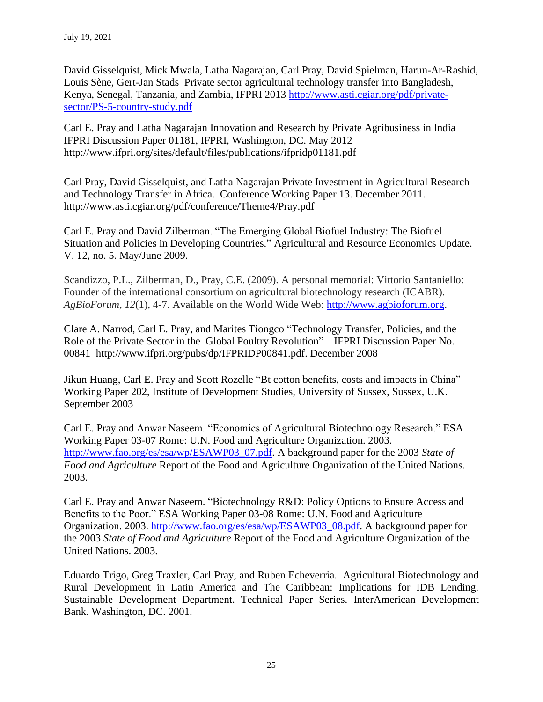David Gisselquist, Mick Mwala, Latha Nagarajan, Carl Pray, David Spielman, Harun-Ar-Rashid, Louis Sène, Gert-Jan Stads Private sector agricultural technology transfer into Bangladesh, Kenya, Senegal, Tanzania, and Zambia, IFPRI 2013 [http://www.asti.cgiar.org/pdf/private](http://www.asti.cgiar.org/pdf/private-sector/PS-5-country-study.pdf)[sector/PS-5-country-study.pdf](http://www.asti.cgiar.org/pdf/private-sector/PS-5-country-study.pdf)

Carl E. Pray and Latha Nagarajan Innovation and Research by Private Agribusiness in India IFPRI Discussion Paper 01181, IFPRI, Washington, DC. May 2012 http://www.ifpri.org/sites/default/files/publications/ifpridp01181.pdf

Carl Pray, David Gisselquist, and Latha Nagarajan Private Investment in Agricultural Research and Technology Transfer in Africa. Conference Working Paper 13. December 2011. http://www.asti.cgiar.org/pdf/conference/Theme4/Pray.pdf

Carl E. Pray and David Zilberman. "The Emerging Global Biofuel Industry: The Biofuel Situation and Policies in Developing Countries." Agricultural and Resource Economics Update. V. 12, no. 5. May/June 2009.

Scandizzo, P.L., Zilberman, D., Pray, C.E. (2009). A personal memorial: Vittorio Santaniello: Founder of the international consortium on agricultural biotechnology research (ICABR). *AgBioForum*, *12*(1), 4-7. Available on the World Wide Web: [http://www.agbioforum.org.](http://www.agbioforum.org/)

Clare A. Narrod, Carl E. Pray, and Marites Tiongco "Technology Transfer, Policies, and the Role of the Private Sector in the Global Poultry Revolution" IFPRI Discussion Paper No. 00841 [http://www.ifpri.org/pubs/dp/IFPRIDP00841.pdf.](http://www.ifpri.org/pubs/dp/IFPRIDP00841.pdf) December 2008

Jikun Huang, Carl E. Pray and Scott Rozelle "Bt cotton benefits, costs and impacts in China" Working Paper 202, Institute of Development Studies, University of Sussex, Sussex, U.K. September 2003

Carl E. Pray and Anwar Naseem. "Economics of Agricultural Biotechnology Research." ESA Working Paper 03-07 Rome: U.N. Food and Agriculture Organization. 2003. [http://www.fao.org/es/esa/wp/ESAWP03\\_07.pdf.](http://www.fao.org/es/esa/wp/ESAWP03_07.pdf) A background paper for the 2003 *State of Food and Agriculture* Report of the Food and Agriculture Organization of the United Nations. 2003.

Carl E. Pray and Anwar Naseem. "Biotechnology R&D: Policy Options to Ensure Access and Benefits to the Poor." ESA Working Paper 03-08 Rome: U.N. Food and Agriculture Organization. 2003. [http://www.fao.org/es/esa/wp/ESAWP03\\_08.pdf.](http://www.fao.org/es/esa/wp/ESAWP03_08.pdf) A background paper for the 2003 *State of Food and Agriculture* Report of the Food and Agriculture Organization of the United Nations. 2003.

Eduardo Trigo, Greg Traxler, Carl Pray, and Ruben Echeverria. Agricultural Biotechnology and Rural Development in Latin America and The Caribbean: Implications for IDB Lending. Sustainable Development Department. Technical Paper Series. InterAmerican Development Bank. Washington, DC. 2001.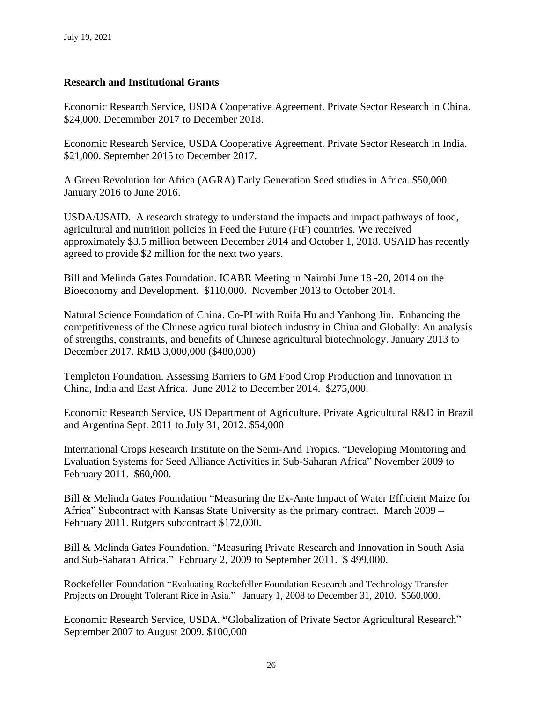# **Research and Institutional Grants**

Economic Research Service, USDA Cooperative Agreement. Private Sector Research in China. \$24,000. Decemmber 2017 to December 2018.

Economic Research Service, USDA Cooperative Agreement. Private Sector Research in India. \$21,000. September 2015 to December 2017.

A Green Revolution for Africa (AGRA) Early Generation Seed studies in Africa. \$50,000. January 2016 to June 2016.

USDA/USAID. A research strategy to understand the impacts and impact pathways of food, agricultural and nutrition policies in Feed the Future (FtF) countries. We received approximately \$3.5 million between December 2014 and October 1, 2018. USAID has recently agreed to provide \$2 million for the next two years.

Bill and Melinda Gates Foundation. ICABR Meeting in Nairobi June 18 -20, 2014 on the Bioeconomy and Development. \$110,000. November 2013 to October 2014.

Natural Science Foundation of China. Co-PI with Ruifa Hu and Yanhong Jin. Enhancing the competitiveness of the Chinese agricultural biotech industry in China and Globally: An analysis of strengths, constraints, and benefits of Chinese agricultural biotechnology. January 2013 to December 2017. RMB 3,000,000 (\$480,000)

Templeton Foundation. Assessing Barriers to GM Food Crop Production and Innovation in China, India and East Africa. June 2012 to December 2014. \$275,000.

Economic Research Service, US Department of Agriculture. Private Agricultural R&D in Brazil and Argentina Sept. 2011 to July 31, 2012. \$54,000

International Crops Research Institute on the Semi-Arid Tropics. "Developing Monitoring and Evaluation Systems for Seed Alliance Activities in Sub-Saharan Africa" November 2009 to February 2011. \$60,000.

Bill & Melinda Gates Foundation "Measuring the Ex-Ante Impact of Water Efficient Maize for Africa" Subcontract with Kansas State University as the primary contract. March 2009 – February 2011. Rutgers subcontract \$172,000.

Bill & Melinda Gates Foundation. "Measuring Private Research and Innovation in South Asia and Sub-Saharan Africa." February 2, 2009 to September 2011. \$ 499,000.

Rockefeller Foundation "Evaluating Rockefeller Foundation Research and Technology Transfer Projects on Drought Tolerant Rice in Asia." January 1, 2008 to December 31, 2010. \$560,000.

Economic Research Service, USDA. **"**Globalization of Private Sector Agricultural Research" September 2007 to August 2009. \$100,000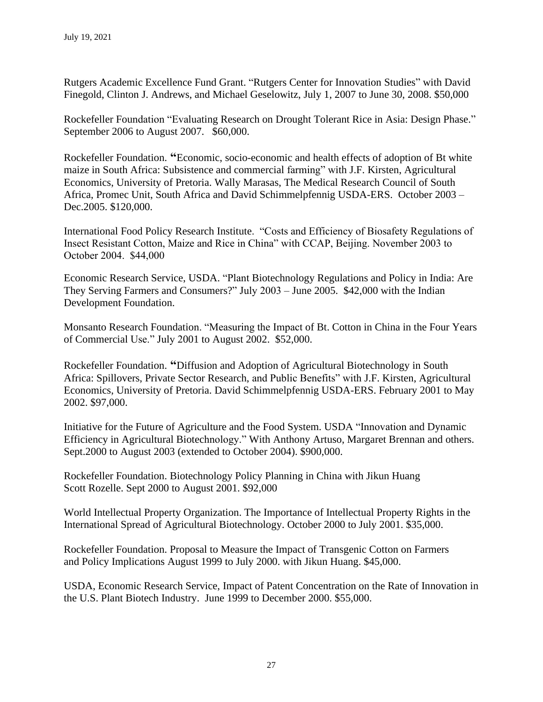Rutgers Academic Excellence Fund Grant. "Rutgers Center for Innovation Studies" with David Finegold, Clinton J. Andrews, and Michael Geselowitz, July 1, 2007 to June 30, 2008. \$50,000

Rockefeller Foundation "Evaluating Research on Drought Tolerant Rice in Asia: Design Phase." September 2006 to August 2007. \$60,000.

Rockefeller Foundation. **"**Economic, socio-economic and health effects of adoption of Bt white maize in South Africa: Subsistence and commercial farming" with J.F. Kirsten, Agricultural Economics, University of Pretoria. Wally Marasas, The Medical Research Council of South Africa, Promec Unit, South Africa and David Schimmelpfennig USDA-ERS. October 2003 – Dec.2005. \$120,000.

International Food Policy Research Institute. "Costs and Efficiency of Biosafety Regulations of Insect Resistant Cotton, Maize and Rice in China" with CCAP, Beijing. November 2003 to October 2004. \$44,000

Economic Research Service, USDA. "Plant Biotechnology Regulations and Policy in India: Are They Serving Farmers and Consumers?" July 2003 – June 2005. \$42,000 with the Indian Development Foundation.

Monsanto Research Foundation. "Measuring the Impact of Bt. Cotton in China in the Four Years of Commercial Use." July 2001 to August 2002. \$52,000.

Rockefeller Foundation. **"**Diffusion and Adoption of Agricultural Biotechnology in South Africa: Spillovers, Private Sector Research, and Public Benefits" with J.F. Kirsten, Agricultural Economics, University of Pretoria. David Schimmelpfennig USDA-ERS. February 2001 to May 2002. \$97,000.

Initiative for the Future of Agriculture and the Food System. USDA "Innovation and Dynamic Efficiency in Agricultural Biotechnology." With Anthony Artuso, Margaret Brennan and others. Sept.2000 to August 2003 (extended to October 2004). \$900,000.

Rockefeller Foundation. Biotechnology Policy Planning in China with Jikun Huang Scott Rozelle. Sept 2000 to August 2001. \$92,000

World Intellectual Property Organization. The Importance of Intellectual Property Rights in the International Spread of Agricultural Biotechnology. October 2000 to July 2001. \$35,000.

Rockefeller Foundation. Proposal to Measure the Impact of Transgenic Cotton on Farmers and Policy Implications August 1999 to July 2000. with Jikun Huang. \$45,000.

USDA, Economic Research Service, Impact of Patent Concentration on the Rate of Innovation in the U.S. Plant Biotech Industry. June 1999 to December 2000. \$55,000.